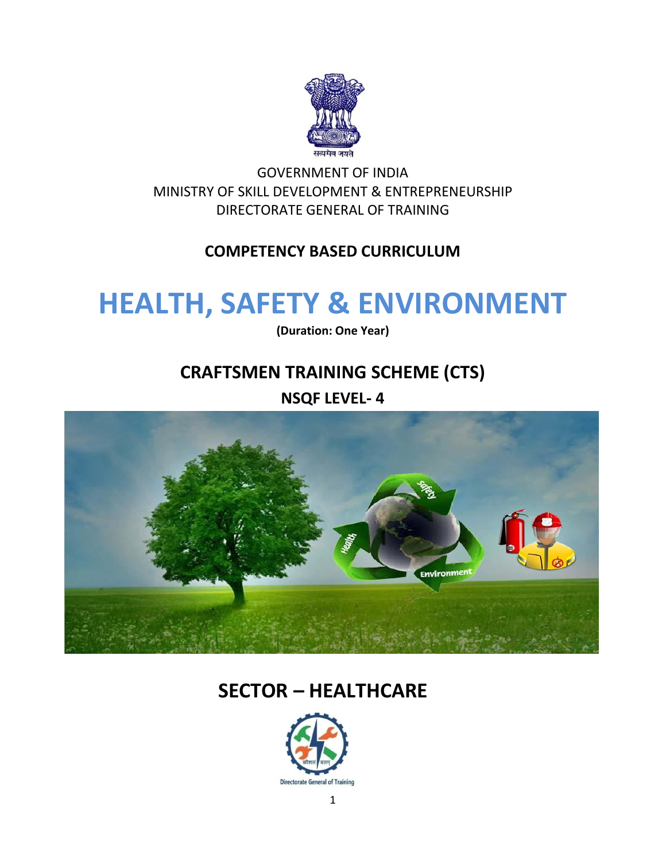

GOVERNMENT OF INDIA MINISTRY OF SKILL DEVELOPMENT & ENTREPRENEURSHIP DIRECTORATE GENERAL OF TRAINING

#### **COMPETENCY BASED CURRICULUM**

## **HEALTH, SAFETY & ENVIRONMENT**

**(Duration: One Year)**

### **CRAFTSMEN TRAINING SCHEME (CTS)**

**NSQF LEVEL- 4**



## **SECTOR – HEALTHCARE**

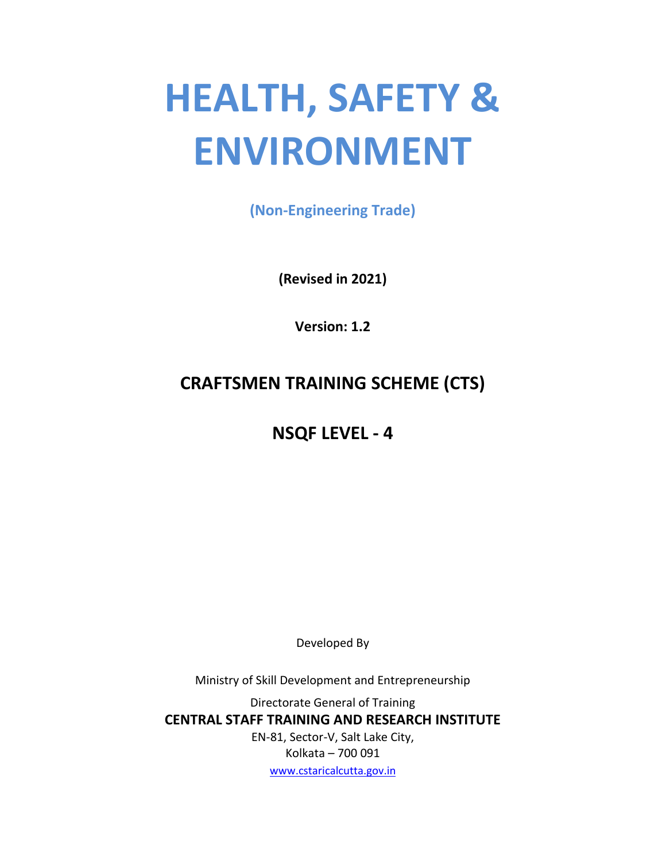# **HEALTH, SAFETY & ENVIRONMENT**

**(Non-Engineering Trade)**

**(Revised in 2021)**

**Version: 1.2**

## **CRAFTSMEN TRAINING SCHEME (CTS)**

## **NSQF LEVEL - 4**

Developed By

Ministry of Skill Development and Entrepreneurship

Directorate General of Training **CENTRAL STAFF TRAINING AND RESEARCH INSTITUTE** EN-81, Sector-V, Salt Lake City, Kolkata – 700 091 [www.cstaricalcutta.gov.in](http://www.cstaricalcutta.gov.in/)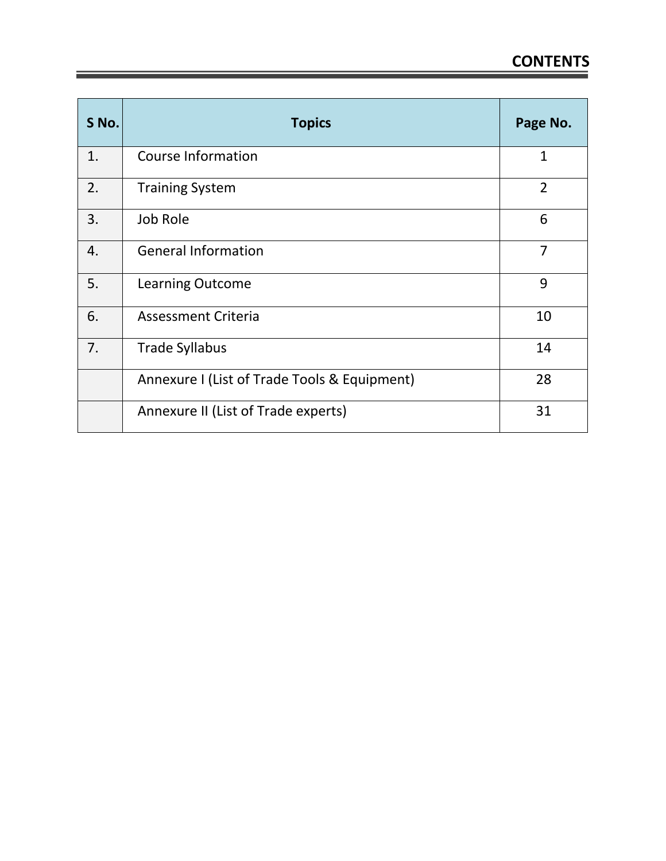| S No. | <b>Topics</b>                                | Page No.       |
|-------|----------------------------------------------|----------------|
| 1.    | <b>Course Information</b>                    | $\mathbf{1}$   |
| 2.    | <b>Training System</b>                       | $\overline{2}$ |
| 3.    | Job Role                                     | 6              |
| 4.    | <b>General Information</b>                   | $\overline{7}$ |
| 5.    | <b>Learning Outcome</b>                      | 9              |
| 6.    | <b>Assessment Criteria</b>                   | 10             |
| 7.    | <b>Trade Syllabus</b>                        | 14             |
|       | Annexure I (List of Trade Tools & Equipment) | 28             |
|       | Annexure II (List of Trade experts)          | 31             |

Ē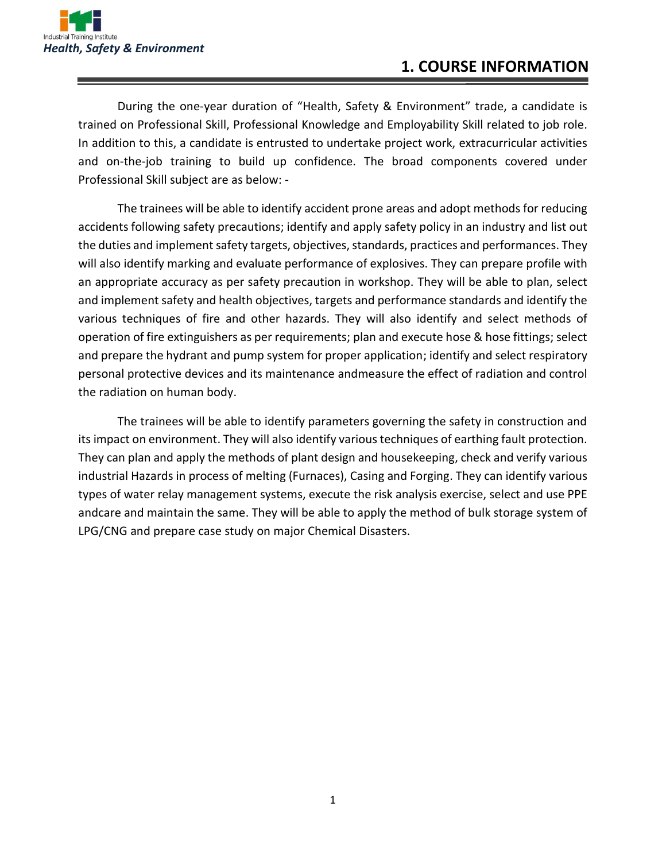

During the one-year duration of "Health, Safety & Environment" trade, a candidate is trained on Professional Skill, Professional Knowledge and Employability Skill related to job role. In addition to this, a candidate is entrusted to undertake project work, extracurricular activities and on-the-job training to build up confidence. The broad components covered under Professional Skill subject are as below: -

The trainees will be able to identify accident prone areas and adopt methods for reducing accidents following safety precautions; identify and apply safety policy in an industry and list out the duties and implement safety targets, objectives, standards, practices and performances. They will also identify marking and evaluate performance of explosives. They can prepare profile with an appropriate accuracy as per safety precaution in workshop. They will be able to plan, select and implement safety and health objectives, targets and performance standards and identify the various techniques of fire and other hazards. They will also identify and select methods of operation of fire extinguishers as per requirements; plan and execute hose & hose fittings; select and prepare the hydrant and pump system for proper application; identify and select respiratory personal protective devices and its maintenance andmeasure the effect of radiation and control the radiation on human body.

The trainees will be able to identify parameters governing the safety in construction and its impact on environment. They will also identify various techniques of earthing fault protection. They can plan and apply the methods of plant design and housekeeping, check and verify various industrial Hazards in process of melting (Furnaces), Casing and Forging. They can identify various types of water relay management systems, execute the risk analysis exercise, select and use PPE andcare and maintain the same. They will be able to apply the method of bulk storage system of LPG/CNG and prepare case study on major Chemical Disasters.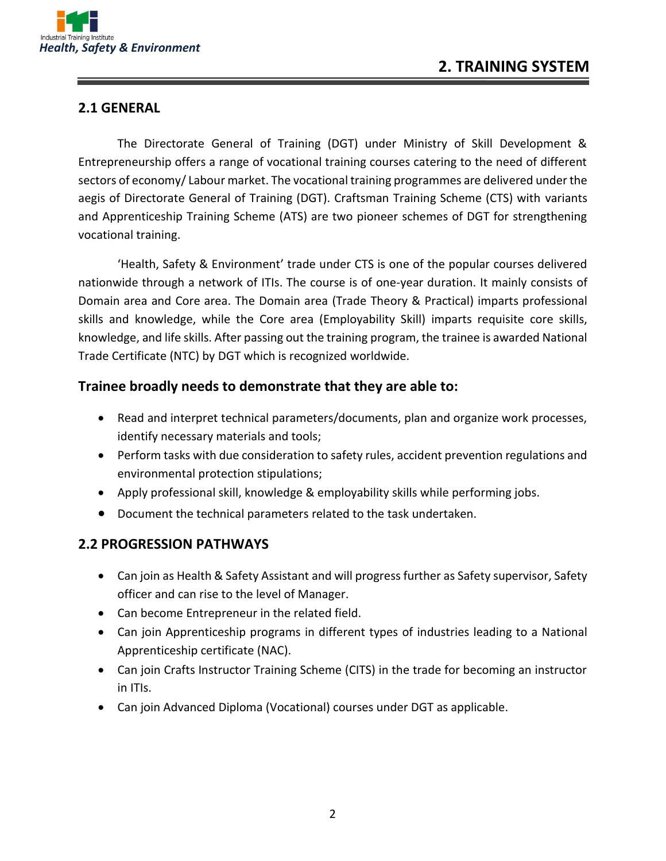

#### **2.1 GENERAL**

The Directorate General of Training (DGT) under Ministry of Skill Development & Entrepreneurship offers a range of vocational training courses catering to the need of different sectors of economy/ Labour market. The vocational training programmes are delivered under the aegis of Directorate General of Training (DGT). Craftsman Training Scheme (CTS) with variants and Apprenticeship Training Scheme (ATS) are two pioneer schemes of DGT for strengthening vocational training.

'Health, Safety & Environment' trade under CTS is one of the popular courses delivered nationwide through a network of ITIs. The course is of one-year duration. It mainly consists of Domain area and Core area. The Domain area (Trade Theory & Practical) imparts professional skills and knowledge, while the Core area (Employability Skill) imparts requisite core skills, knowledge, and life skills. After passing out the training program, the trainee is awarded National Trade Certificate (NTC) by DGT which is recognized worldwide.

#### **Trainee broadly needs to demonstrate that they are able to:**

- Read and interpret technical parameters/documents, plan and organize work processes, identify necessary materials and tools;
- Perform tasks with due consideration to safety rules, accident prevention regulations and environmental protection stipulations;
- Apply professional skill, knowledge & employability skills while performing jobs.
- Document the technical parameters related to the task undertaken.

#### **2.2 PROGRESSION PATHWAYS**

- Can join as Health & Safety Assistant and will progress further as Safety supervisor, Safety officer and can rise to the level of Manager.
- Can become Entrepreneur in the related field.
- Can join Apprenticeship programs in different types of industries leading to a National Apprenticeship certificate (NAC).
- Can join Crafts Instructor Training Scheme (CITS) in the trade for becoming an instructor in ITIs.
- Can join Advanced Diploma (Vocational) courses under DGT as applicable.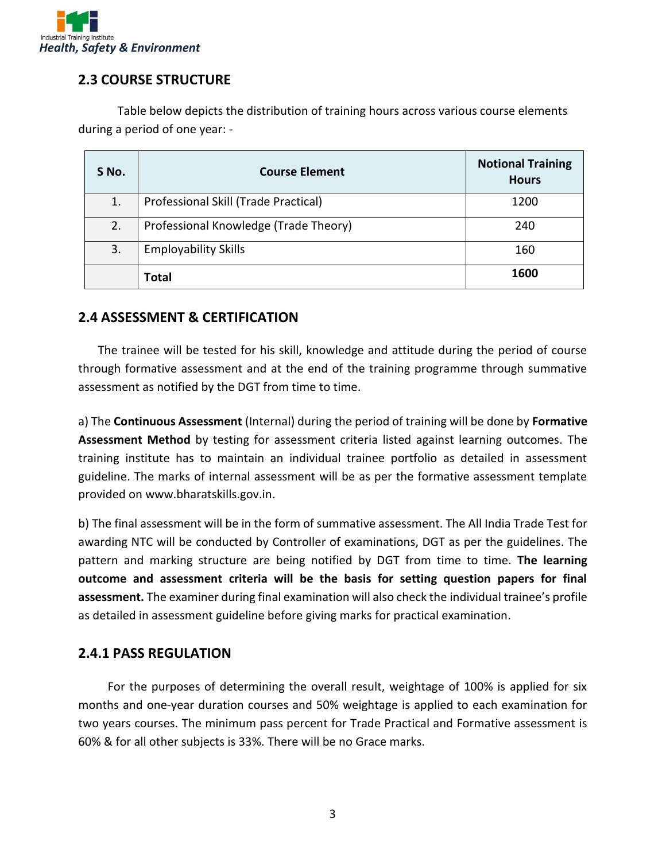

#### **2.3 COURSE STRUCTURE**

Table below depicts the distribution of training hours across various course elements during a period of one year: -

| S No. | <b>Course Element</b>                 | <b>Notional Training</b><br><b>Hours</b> |
|-------|---------------------------------------|------------------------------------------|
| 1.    | Professional Skill (Trade Practical)  | 1200                                     |
| 2.    | Professional Knowledge (Trade Theory) | 240                                      |
| 3.    | <b>Employability Skills</b>           | 160                                      |
|       | Total                                 | 1600                                     |

#### **2.4 ASSESSMENT & CERTIFICATION**

The trainee will be tested for his skill, knowledge and attitude during the period of course through formative assessment and at the end of the training programme through summative assessment as notified by the DGT from time to time.

a) The **Continuous Assessment** (Internal) during the period of training will be done by **Formative Assessment Method** by testing for assessment criteria listed against learning outcomes. The training institute has to maintain an individual trainee portfolio as detailed in assessment guideline. The marks of internal assessment will be as per the formative assessment template provided on www.bharatskills.gov.in.

b) The final assessment will be in the form of summative assessment. The All India Trade Test for awarding NTC will be conducted by Controller of examinations, DGT as per the guidelines. The pattern and marking structure are being notified by DGT from time to time. **The learning outcome and assessment criteria will be the basis for setting question papers for final assessment.** The examiner during final examination will also check the individual trainee's profile as detailed in assessment guideline before giving marks for practical examination.

#### **2.4.1 PASS REGULATION**

For the purposes of determining the overall result, weightage of 100% is applied for six months and one-year duration courses and 50% weightage is applied to each examination for two years courses. The minimum pass percent for Trade Practical and Formative assessment is 60% & for all other subjects is 33%. There will be no Grace marks.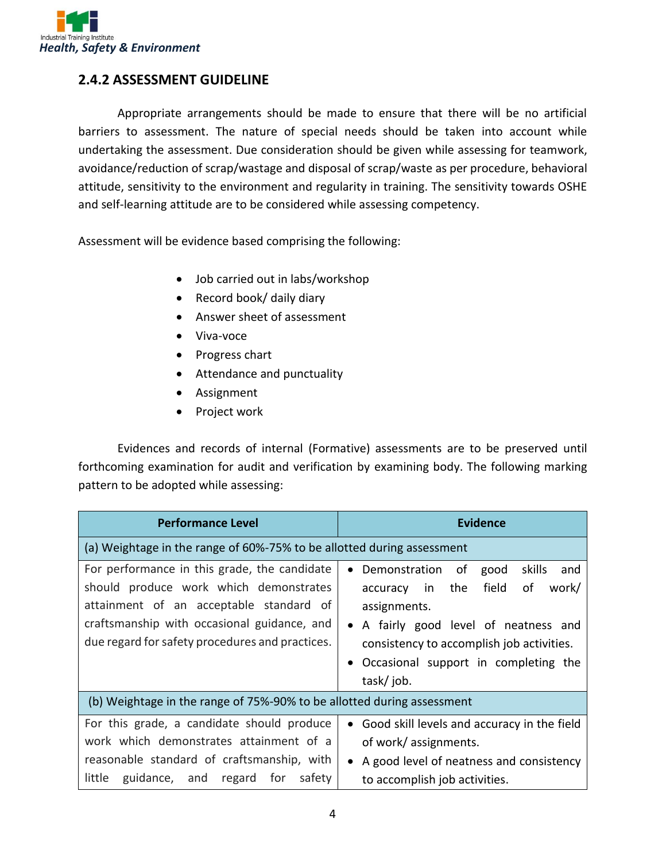

#### **2.4.2 ASSESSMENT GUIDELINE**

Appropriate arrangements should be made to ensure that there will be no artificial barriers to assessment. The nature of special needs should be taken into account while undertaking the assessment. Due consideration should be given while assessing for teamwork, avoidance/reduction of scrap/wastage and disposal of scrap/waste as per procedure, behavioral attitude, sensitivity to the environment and regularity in training. The sensitivity towards OSHE and self-learning attitude are to be considered while assessing competency.

Assessment will be evidence based comprising the following:

- Job carried out in labs/workshop
- Record book/ daily diary
- Answer sheet of assessment
- Viva-voce
- Progress chart
- Attendance and punctuality
- Assignment
- Project work

Evidences and records of internal (Formative) assessments are to be preserved until forthcoming examination for audit and verification by examining body. The following marking pattern to be adopted while assessing:

| <b>Performance Level</b>                                                                                                                                                                                                            | <b>Evidence</b>                                                                                                                                                                                                                                                  |  |  |
|-------------------------------------------------------------------------------------------------------------------------------------------------------------------------------------------------------------------------------------|------------------------------------------------------------------------------------------------------------------------------------------------------------------------------------------------------------------------------------------------------------------|--|--|
| (a) Weightage in the range of 60%-75% to be allotted during assessment                                                                                                                                                              |                                                                                                                                                                                                                                                                  |  |  |
| For performance in this grade, the candidate<br>should produce work which demonstrates<br>attainment of an acceptable standard of<br>craftsmanship with occasional guidance, and<br>due regard for safety procedures and practices. | skills<br>Demonstration of<br>good<br>and<br>the<br>field<br>work/<br>οf<br>in<br>accuracy<br>assignments.<br>A fairly good level of neatness and<br>$\bullet$<br>consistency to accomplish job activities.<br>Occasional support in completing the<br>task/job. |  |  |
| (b) Weightage in the range of 75%-90% to be allotted during assessment                                                                                                                                                              |                                                                                                                                                                                                                                                                  |  |  |
| For this grade, a candidate should produce<br>work which demonstrates attainment of a<br>reasonable standard of craftsmanship, with<br>little<br>guidance, and regard<br>for<br>safety                                              | Good skill levels and accuracy in the field<br>of work/ assignments.<br>A good level of neatness and consistency<br>to accomplish job activities.                                                                                                                |  |  |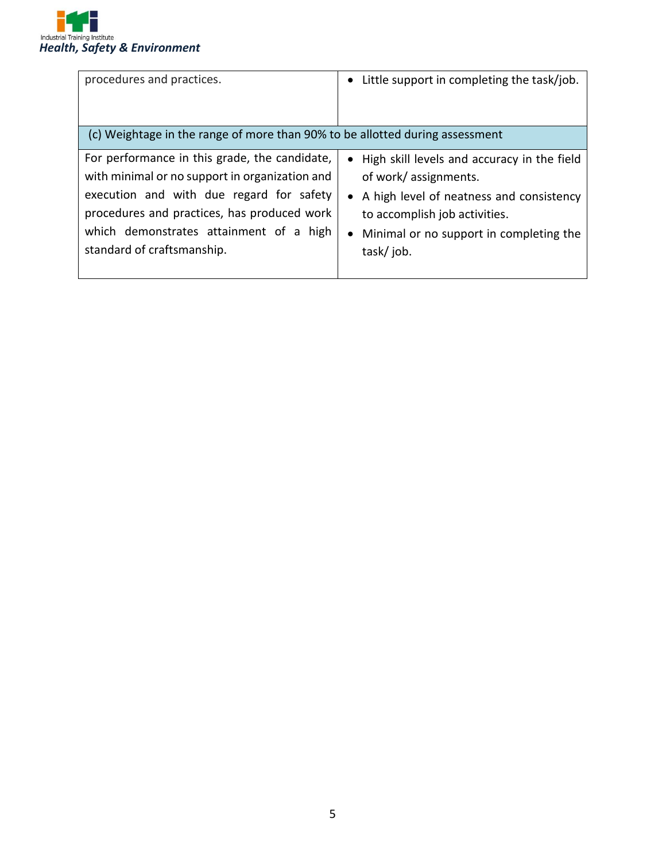

| procedures and practices.                                                                                                                                                                                                                                           | • Little support in completing the task/job.                                                                                                                                                                   |
|---------------------------------------------------------------------------------------------------------------------------------------------------------------------------------------------------------------------------------------------------------------------|----------------------------------------------------------------------------------------------------------------------------------------------------------------------------------------------------------------|
| (c) Weightage in the range of more than 90% to be allotted during assessment                                                                                                                                                                                        |                                                                                                                                                                                                                |
| For performance in this grade, the candidate,<br>with minimal or no support in organization and<br>execution and with due regard for safety<br>procedures and practices, has produced work<br>which demonstrates attainment of a high<br>standard of craftsmanship. | • High skill levels and accuracy in the field<br>of work/assignments.<br>• A high level of neatness and consistency<br>to accomplish job activities.<br>• Minimal or no support in completing the<br>task/job. |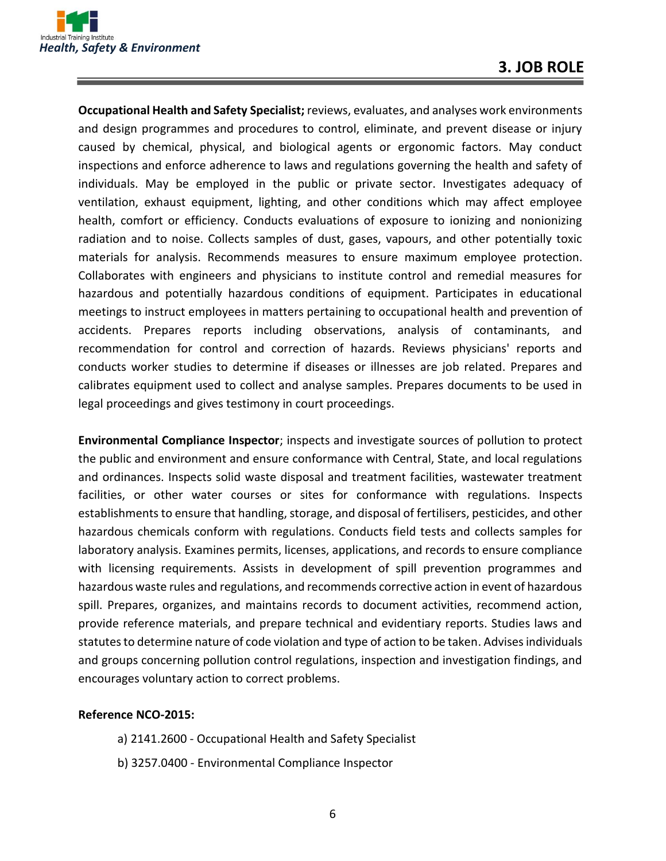

**Occupational Health and Safety Specialist;** reviews, evaluates, and analyses work environments and design programmes and procedures to control, eliminate, and prevent disease or injury caused by chemical, physical, and biological agents or ergonomic factors. May conduct inspections and enforce adherence to laws and regulations governing the health and safety of individuals. May be employed in the public or private sector. Investigates adequacy of ventilation, exhaust equipment, lighting, and other conditions which may affect employee health, comfort or efficiency. Conducts evaluations of exposure to ionizing and nonionizing radiation and to noise. Collects samples of dust, gases, vapours, and other potentially toxic materials for analysis. Recommends measures to ensure maximum employee protection. Collaborates with engineers and physicians to institute control and remedial measures for hazardous and potentially hazardous conditions of equipment. Participates in educational meetings to instruct employees in matters pertaining to occupational health and prevention of accidents. Prepares reports including observations, analysis of contaminants, and recommendation for control and correction of hazards. Reviews physicians' reports and conducts worker studies to determine if diseases or illnesses are job related. Prepares and calibrates equipment used to collect and analyse samples. Prepares documents to be used in legal proceedings and gives testimony in court proceedings.

**Environmental Compliance Inspector**; inspects and investigate sources of pollution to protect the public and environment and ensure conformance with Central, State, and local regulations and ordinances. Inspects solid waste disposal and treatment facilities, wastewater treatment facilities, or other water courses or sites for conformance with regulations. Inspects establishments to ensure that handling, storage, and disposal of fertilisers, pesticides, and other hazardous chemicals conform with regulations. Conducts field tests and collects samples for laboratory analysis. Examines permits, licenses, applications, and records to ensure compliance with licensing requirements. Assists in development of spill prevention programmes and hazardous waste rules and regulations, and recommends corrective action in event of hazardous spill. Prepares, organizes, and maintains records to document activities, recommend action, provide reference materials, and prepare technical and evidentiary reports. Studies laws and statutes to determine nature of code violation and type of action to be taken. Advises individuals and groups concerning pollution control regulations, inspection and investigation findings, and encourages voluntary action to correct problems.

#### **Reference NCO-2015:**

- a) 2141.2600 Occupational Health and Safety Specialist
- b) 3257.0400 Environmental Compliance Inspector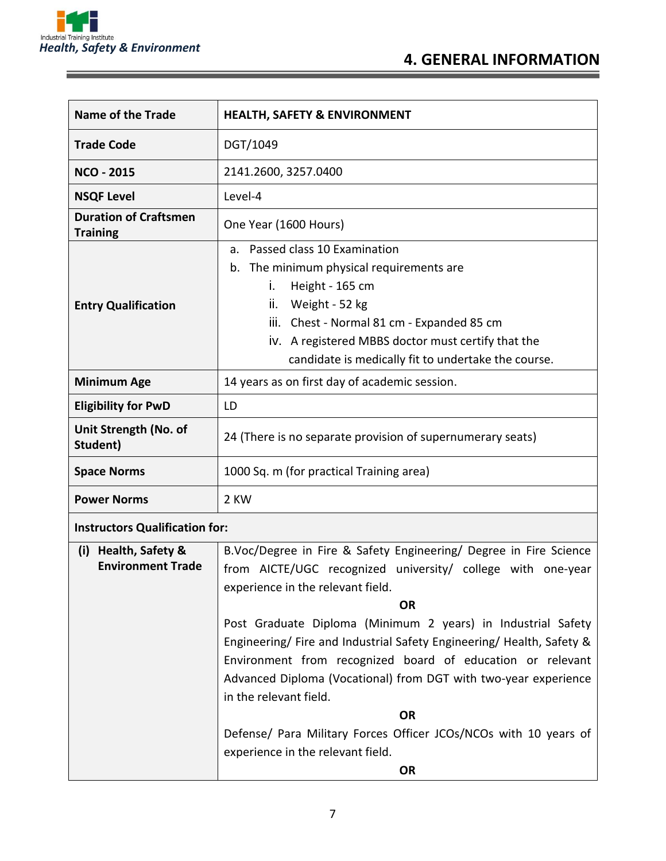

and the control of the control of the control of

| <b>Name of the Trade</b>                                                                                                                                                                | <b>HEALTH, SAFETY &amp; ENVIRONMENT</b>                                                                                                                                                                                                                                                    |  |  |
|-----------------------------------------------------------------------------------------------------------------------------------------------------------------------------------------|--------------------------------------------------------------------------------------------------------------------------------------------------------------------------------------------------------------------------------------------------------------------------------------------|--|--|
| <b>Trade Code</b>                                                                                                                                                                       | DGT/1049                                                                                                                                                                                                                                                                                   |  |  |
| <b>NCO - 2015</b>                                                                                                                                                                       | 2141.2600, 3257.0400                                                                                                                                                                                                                                                                       |  |  |
| <b>NSQF Level</b>                                                                                                                                                                       | Level-4                                                                                                                                                                                                                                                                                    |  |  |
| <b>Duration of Craftsmen</b><br><b>Training</b>                                                                                                                                         | One Year (1600 Hours)                                                                                                                                                                                                                                                                      |  |  |
| <b>Entry Qualification</b>                                                                                                                                                              | a. Passed class 10 Examination<br>The minimum physical requirements are<br>b.<br>Height - 165 cm<br>İ.<br>Weight - 52 kg<br>ii.<br>iii. Chest - Normal 81 cm - Expanded 85 cm<br>iv. A registered MBBS doctor must certify that the<br>candidate is medically fit to undertake the course. |  |  |
| <b>Minimum Age</b>                                                                                                                                                                      | 14 years as on first day of academic session.                                                                                                                                                                                                                                              |  |  |
| <b>Eligibility for PwD</b>                                                                                                                                                              | LD                                                                                                                                                                                                                                                                                         |  |  |
| Unit Strength (No. of<br>Student)                                                                                                                                                       | 24 (There is no separate provision of supernumerary seats)                                                                                                                                                                                                                                 |  |  |
| <b>Space Norms</b>                                                                                                                                                                      | 1000 Sq. m (for practical Training area)                                                                                                                                                                                                                                                   |  |  |
| <b>Power Norms</b>                                                                                                                                                                      | 2 KW                                                                                                                                                                                                                                                                                       |  |  |
| <b>Instructors Qualification for:</b>                                                                                                                                                   |                                                                                                                                                                                                                                                                                            |  |  |
| B.Voc/Degree in Fire & Safety Engineering/ Degree in Fire Science<br>Health, Safety &<br>(i)<br><b>Environment Trade</b><br>from AICTE/UGC recognized university/ college with one-year |                                                                                                                                                                                                                                                                                            |  |  |

| (i) really salety &      | B.VOC/Degree in Fire & Salety Engineering/ Degree in Fire Science   |
|--------------------------|---------------------------------------------------------------------|
| <b>Environment Trade</b> | from AICTE/UGC recognized university/ college with one-year         |
|                          | experience in the relevant field.                                   |
|                          | <b>OR</b>                                                           |
|                          | Post Graduate Diploma (Minimum 2 years) in Industrial Safety        |
|                          | Engineering/Fire and Industrial Safety Engineering/Health, Safety & |
|                          | Environment from recognized board of education or relevant          |
|                          | Advanced Diploma (Vocational) from DGT with two-year experience     |
|                          | in the relevant field.                                              |
|                          | <b>OR</b>                                                           |
|                          | Defense/ Para Military Forces Officer JCOs/NCOs with 10 years of    |
|                          | experience in the relevant field.                                   |
|                          | <b>OR</b>                                                           |
|                          |                                                                     |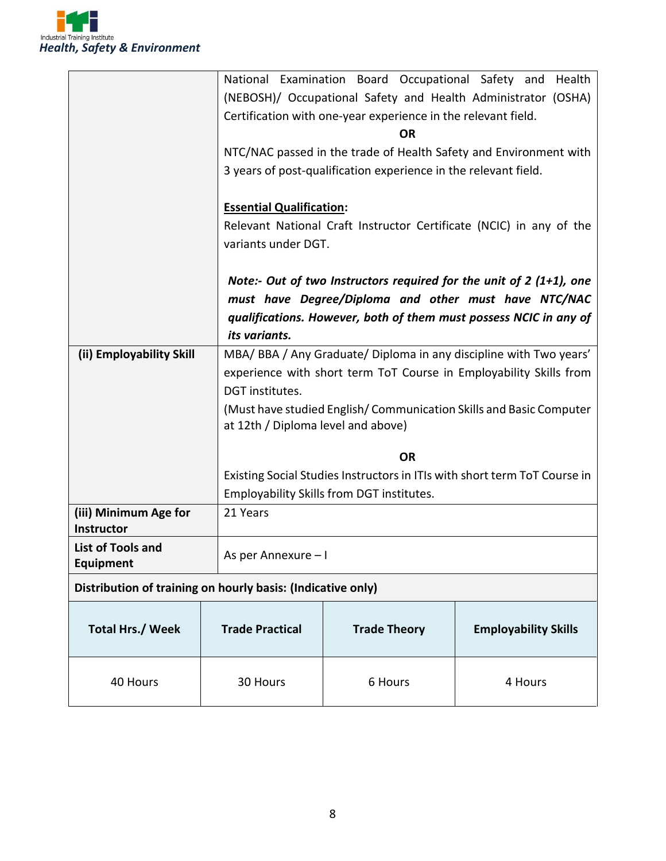

|                                                             |                                    | National Examination Board Occupational Safety and              | Health                                                                    |  |
|-------------------------------------------------------------|------------------------------------|-----------------------------------------------------------------|---------------------------------------------------------------------------|--|
|                                                             |                                    |                                                                 | (NEBOSH)/ Occupational Safety and Health Administrator (OSHA)             |  |
|                                                             |                                    | Certification with one-year experience in the relevant field.   |                                                                           |  |
|                                                             |                                    | <b>OR</b>                                                       |                                                                           |  |
|                                                             |                                    |                                                                 | NTC/NAC passed in the trade of Health Safety and Environment with         |  |
|                                                             |                                    | 3 years of post-qualification experience in the relevant field. |                                                                           |  |
|                                                             |                                    |                                                                 |                                                                           |  |
|                                                             |                                    | <b>Essential Qualification:</b>                                 |                                                                           |  |
|                                                             |                                    |                                                                 | Relevant National Craft Instructor Certificate (NCIC) in any of the       |  |
|                                                             | variants under DGT.                |                                                                 |                                                                           |  |
|                                                             |                                    |                                                                 |                                                                           |  |
|                                                             |                                    |                                                                 | Note:- Out of two Instructors required for the unit of 2 (1+1), one       |  |
|                                                             |                                    |                                                                 | must have Degree/Diploma and other must have NTC/NAC                      |  |
|                                                             |                                    |                                                                 | qualifications. However, both of them must possess NCIC in any of         |  |
|                                                             | its variants.                      |                                                                 |                                                                           |  |
| (ii) Employability Skill                                    |                                    | MBA/BBA/Any Graduate/Diploma in any discipline with Two years'  |                                                                           |  |
|                                                             |                                    |                                                                 | experience with short term ToT Course in Employability Skills from        |  |
|                                                             | DGT institutes.                    |                                                                 |                                                                           |  |
|                                                             |                                    |                                                                 | (Must have studied English/Communication Skills and Basic Computer        |  |
|                                                             | at 12th / Diploma level and above) |                                                                 |                                                                           |  |
|                                                             |                                    |                                                                 |                                                                           |  |
|                                                             |                                    | <b>OR</b>                                                       |                                                                           |  |
|                                                             |                                    |                                                                 | Existing Social Studies Instructors in ITIs with short term ToT Course in |  |
|                                                             |                                    | Employability Skills from DGT institutes.                       |                                                                           |  |
| (iii) Minimum Age for                                       | 21 Years                           |                                                                 |                                                                           |  |
| Instructor                                                  |                                    |                                                                 |                                                                           |  |
| <b>List of Tools and</b>                                    | As per Annexure - I                |                                                                 |                                                                           |  |
| Equipment                                                   |                                    |                                                                 |                                                                           |  |
| Distribution of training on hourly basis: (Indicative only) |                                    |                                                                 |                                                                           |  |
|                                                             |                                    |                                                                 |                                                                           |  |
| <b>Total Hrs./ Week</b>                                     | <b>Trade Practical</b>             | <b>Trade Theory</b>                                             | <b>Employability Skills</b>                                               |  |
|                                                             |                                    |                                                                 |                                                                           |  |
|                                                             |                                    |                                                                 |                                                                           |  |
| 40 Hours                                                    | 30 Hours                           | 6 Hours                                                         | 4 Hours                                                                   |  |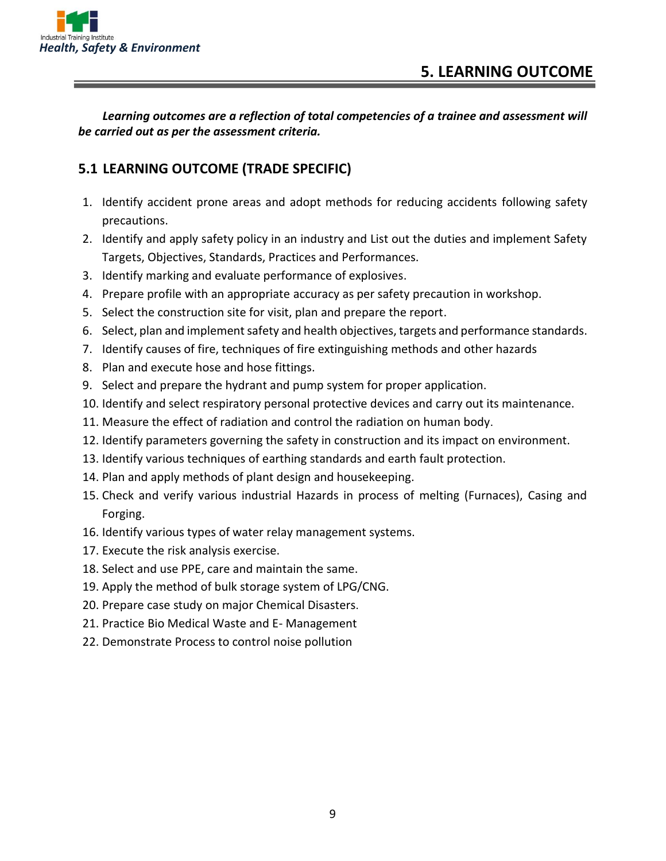

*Learning outcomes are a reflection of total competencies of a trainee and assessment will be carried out as per the assessment criteria.*

#### **5.1 LEARNING OUTCOME (TRADE SPECIFIC)**

- 1. Identify accident prone areas and adopt methods for reducing accidents following safety precautions.
- 2. Identify and apply safety policy in an industry and List out the duties and implement Safety Targets, Objectives, Standards, Practices and Performances.
- 3. Identify marking and evaluate performance of explosives.
- 4. Prepare profile with an appropriate accuracy as per safety precaution in workshop.
- 5. Select the construction site for visit, plan and prepare the report.
- 6. Select, plan and implement safety and health objectives, targets and performance standards.
- 7. Identify causes of fire, techniques of fire extinguishing methods and other hazards
- 8. Plan and execute hose and hose fittings.
- 9. Select and prepare the hydrant and pump system for proper application.
- 10. Identify and select respiratory personal protective devices and carry out its maintenance.
- 11. Measure the effect of radiation and control the radiation on human body.
- 12. Identify parameters governing the safety in construction and its impact on environment.
- 13. Identify various techniques of earthing standards and earth fault protection.
- 14. Plan and apply methods of plant design and housekeeping.
- 15. Check and verify various industrial Hazards in process of melting (Furnaces), Casing and Forging.
- 16. Identify various types of water relay management systems.
- 17. Execute the risk analysis exercise.
- 18. Select and use PPE, care and maintain the same.
- 19. Apply the method of bulk storage system of LPG/CNG.
- 20. Prepare case study on major Chemical Disasters.
- 21. Practice Bio Medical Waste and E- Management
- 22. Demonstrate Process to control noise pollution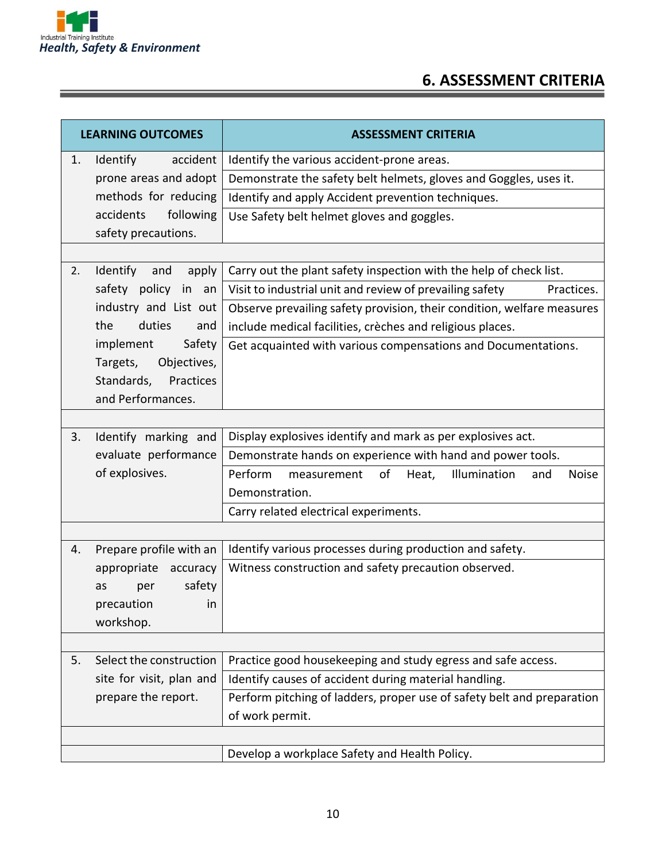

## **6. ASSESSMENT CRITERIA**

| <b>LEARNING OUTCOMES</b> |                          | <b>ASSESSMENT CRITERIA</b>                                                   |  |
|--------------------------|--------------------------|------------------------------------------------------------------------------|--|
| 1.                       | Identify<br>accident     | Identify the various accident-prone areas.                                   |  |
|                          | prone areas and adopt    | Demonstrate the safety belt helmets, gloves and Goggles, uses it.            |  |
|                          | methods for reducing     | Identify and apply Accident prevention techniques.                           |  |
|                          | following<br>accidents   | Use Safety belt helmet gloves and goggles.                                   |  |
|                          | safety precautions.      |                                                                              |  |
|                          |                          |                                                                              |  |
| 2.                       | Identify<br>apply<br>and | Carry out the plant safety inspection with the help of check list.           |  |
|                          | safety policy in an      | Visit to industrial unit and review of prevailing safety<br>Practices.       |  |
|                          | industry and List out    | Observe prevailing safety provision, their condition, welfare measures       |  |
|                          | the<br>duties<br>and     | include medical facilities, crèches and religious places.                    |  |
|                          | Safety<br>implement      | Get acquainted with various compensations and Documentations.                |  |
|                          | Objectives,<br>Targets,  |                                                                              |  |
|                          | Standards,<br>Practices  |                                                                              |  |
|                          | and Performances.        |                                                                              |  |
|                          |                          |                                                                              |  |
| 3.                       | Identify marking and     | Display explosives identify and mark as per explosives act.                  |  |
|                          | evaluate performance     | Demonstrate hands on experience with hand and power tools.                   |  |
|                          | of explosives.           | Perform<br>of<br>Illumination<br>Heat,<br>and<br><b>Noise</b><br>measurement |  |
|                          |                          | Demonstration.                                                               |  |
|                          |                          | Carry related electrical experiments.                                        |  |
|                          |                          |                                                                              |  |
| 4.                       | Prepare profile with an  | Identify various processes during production and safety.                     |  |
|                          | appropriate<br>accuracy  | Witness construction and safety precaution observed.                         |  |
|                          | safety<br>as<br>per      |                                                                              |  |
|                          | precaution<br><i>in</i>  |                                                                              |  |
|                          | workshop.                |                                                                              |  |
|                          |                          |                                                                              |  |
| 5.                       | Select the construction  | Practice good housekeeping and study egress and safe access.                 |  |
|                          | site for visit, plan and | Identify causes of accident during material handling.                        |  |
|                          | prepare the report.      | Perform pitching of ladders, proper use of safety belt and preparation       |  |
|                          |                          | of work permit.                                                              |  |
|                          |                          |                                                                              |  |
|                          |                          | Develop a workplace Safety and Health Policy.                                |  |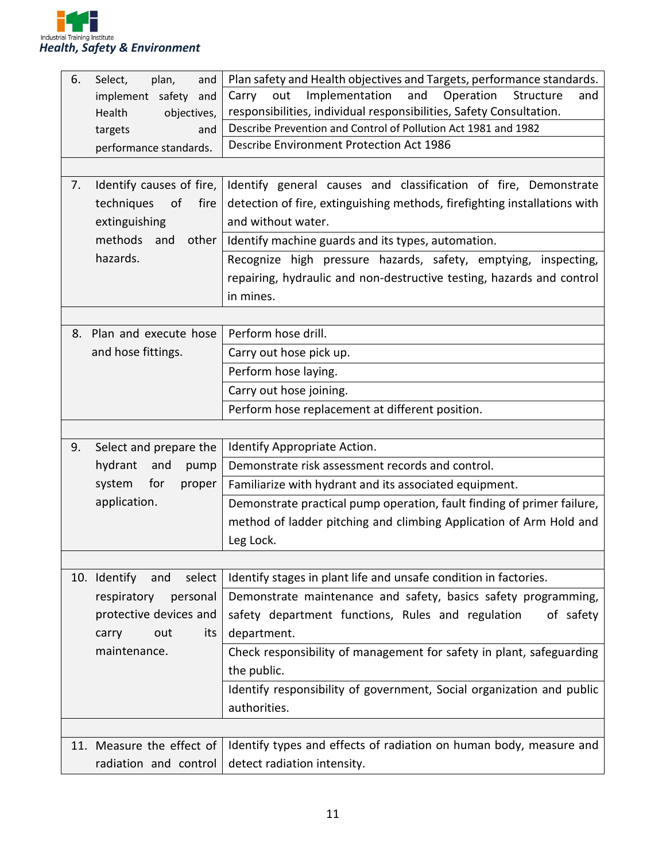

| 6. | Select,<br>plan,<br>and       | Plan safety and Health objectives and Targets, performance standards.     |  |  |
|----|-------------------------------|---------------------------------------------------------------------------|--|--|
|    | implement safety<br>and       | Operation<br>Implementation<br>and<br>Carry<br>Structure<br>out<br>and    |  |  |
|    | Health<br>objectives,         | responsibilities, individual responsibilities, Safety Consultation.       |  |  |
|    | and<br>targets                | Describe Prevention and Control of Pollution Act 1981 and 1982            |  |  |
|    | performance standards.        | <b>Describe Environment Protection Act 1986</b>                           |  |  |
|    |                               |                                                                           |  |  |
| 7. | Identify causes of fire,      | Identify general causes and classification of fire, Demonstrate           |  |  |
|    | techniques<br>of<br>fire      | detection of fire, extinguishing methods, firefighting installations with |  |  |
|    | extinguishing                 | and without water.                                                        |  |  |
|    | methods<br>other<br>and       | Identify machine guards and its types, automation.                        |  |  |
|    | hazards.                      | Recognize high pressure hazards, safety, emptying, inspecting,            |  |  |
|    |                               | repairing, hydraulic and non-destructive testing, hazards and control     |  |  |
|    |                               | in mines.                                                                 |  |  |
|    |                               |                                                                           |  |  |
|    | 8. Plan and execute hose      | Perform hose drill.                                                       |  |  |
|    | and hose fittings.            | Carry out hose pick up.                                                   |  |  |
|    |                               | Perform hose laying.                                                      |  |  |
|    |                               | Carry out hose joining.                                                   |  |  |
|    |                               | Perform hose replacement at different position.                           |  |  |
|    |                               |                                                                           |  |  |
| 9. | Select and prepare the        | Identify Appropriate Action.                                              |  |  |
|    | hydrant<br>and<br>pump        | Demonstrate risk assessment records and control.                          |  |  |
|    | for<br>system<br>proper       | Familiarize with hydrant and its associated equipment.                    |  |  |
|    | application.                  | Demonstrate practical pump operation, fault finding of primer failure,    |  |  |
|    |                               | method of ladder pitching and climbing Application of Arm Hold and        |  |  |
|    |                               | Leg Lock.                                                                 |  |  |
|    |                               |                                                                           |  |  |
|    | select<br>10. Identify<br>and | Identify stages in plant life and unsafe condition in factories.          |  |  |
|    | respiratory<br>personal       | Demonstrate maintenance and safety, basics safety programming,            |  |  |
|    | protective devices and        | safety department functions, Rules and regulation<br>of safety            |  |  |
|    | out<br>its<br>carry           | department.                                                               |  |  |
|    | maintenance.                  | Check responsibility of management for safety in plant, safeguarding      |  |  |
|    |                               | the public.                                                               |  |  |
|    |                               | Identify responsibility of government, Social organization and public     |  |  |
|    |                               | authorities.                                                              |  |  |
|    |                               |                                                                           |  |  |
|    | 11. Measure the effect of     | Identify types and effects of radiation on human body, measure and        |  |  |
|    | radiation and control         | detect radiation intensity.                                               |  |  |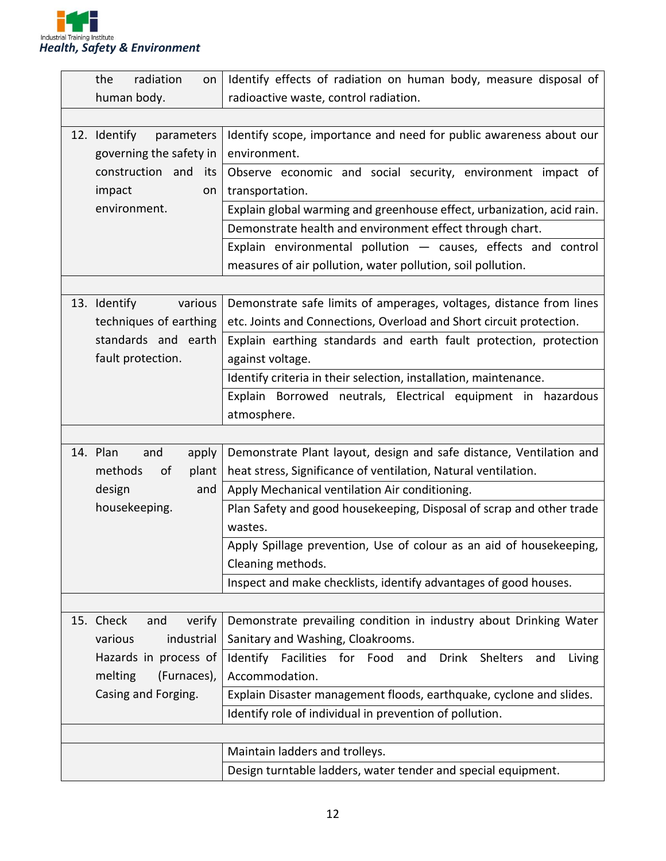

|                     | the<br>radiation<br>on     | Identify effects of radiation on human body, measure disposal of              |  |
|---------------------|----------------------------|-------------------------------------------------------------------------------|--|
|                     | human body.                | radioactive waste, control radiation.                                         |  |
|                     |                            |                                                                               |  |
|                     | 12. Identify<br>parameters | Identify scope, importance and need for public awareness about our            |  |
|                     | governing the safety in    | environment.                                                                  |  |
|                     | construction and<br>its    | Observe economic and social security, environment impact of                   |  |
|                     | impact<br>on               | transportation.                                                               |  |
|                     | environment.               | Explain global warming and greenhouse effect, urbanization, acid rain.        |  |
|                     |                            | Demonstrate health and environment effect through chart.                      |  |
|                     |                            | Explain environmental pollution $-$ causes, effects and control               |  |
|                     |                            | measures of air pollution, water pollution, soil pollution.                   |  |
|                     |                            |                                                                               |  |
|                     | 13. Identify<br>various    | Demonstrate safe limits of amperages, voltages, distance from lines           |  |
|                     | techniques of earthing     | etc. Joints and Connections, Overload and Short circuit protection.           |  |
|                     | standards and earth        | Explain earthing standards and earth fault protection, protection             |  |
|                     | fault protection.          | against voltage.                                                              |  |
|                     |                            | Identify criteria in their selection, installation, maintenance.              |  |
|                     |                            | Explain Borrowed neutrals, Electrical equipment in hazardous                  |  |
|                     |                            | atmosphere.                                                                   |  |
|                     |                            |                                                                               |  |
|                     | 14. Plan<br>and<br>apply   | Demonstrate Plant layout, design and safe distance, Ventilation and           |  |
|                     | plant<br>methods<br>of     | heat stress, Significance of ventilation, Natural ventilation.                |  |
|                     | design<br>and              | Apply Mechanical ventilation Air conditioning.                                |  |
|                     | housekeeping.              | Plan Safety and good housekeeping, Disposal of scrap and other trade          |  |
|                     |                            | wastes.                                                                       |  |
|                     |                            | Apply Spillage prevention, Use of colour as an aid of housekeeping,           |  |
|                     |                            | Cleaning methods.                                                             |  |
|                     |                            | Inspect and make checklists, identify advantages of good houses.              |  |
|                     |                            |                                                                               |  |
|                     | 15. Check<br>and<br>verify | Demonstrate prevailing condition in industry about Drinking Water             |  |
|                     | industrial<br>various      | Sanitary and Washing, Cloakrooms.                                             |  |
|                     | Hazards in process of      | Identify Facilities for Food and<br><b>Drink</b><br>Shelters<br>Living<br>and |  |
|                     | melting<br>(Furnaces),     | Accommodation.                                                                |  |
| Casing and Forging. |                            | Explain Disaster management floods, earthquake, cyclone and slides.           |  |
|                     |                            | Identify role of individual in prevention of pollution.                       |  |
|                     |                            |                                                                               |  |
|                     |                            | Maintain ladders and trolleys.                                                |  |
|                     |                            | Design turntable ladders, water tender and special equipment.                 |  |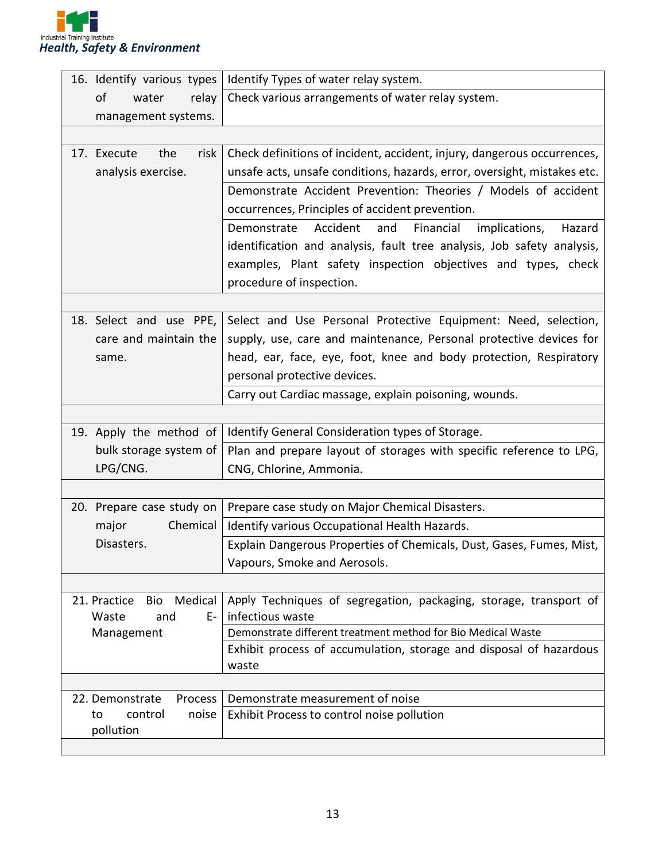

| 16. Identify various types        | Identify Types of water relay system.                                    |  |
|-----------------------------------|--------------------------------------------------------------------------|--|
| of<br>relay<br>water              | Check various arrangements of water relay system.                        |  |
| management systems.               |                                                                          |  |
|                                   |                                                                          |  |
| risk<br>the<br>17. Execute        | Check definitions of incident, accident, injury, dangerous occurrences,  |  |
| analysis exercise.                | unsafe acts, unsafe conditions, hazards, error, oversight, mistakes etc. |  |
|                                   | Demonstrate Accident Prevention: Theories / Models of accident           |  |
|                                   | occurrences, Principles of accident prevention.                          |  |
|                                   | Demonstrate<br>Accident<br>and<br>Financial<br>implications,<br>Hazard   |  |
|                                   | identification and analysis, fault tree analysis, Job safety analysis,   |  |
|                                   | examples, Plant safety inspection objectives and types, check            |  |
|                                   | procedure of inspection.                                                 |  |
|                                   |                                                                          |  |
| 18. Select and use PPE,           | Select and Use Personal Protective Equipment: Need, selection,           |  |
| care and maintain the             | supply, use, care and maintenance, Personal protective devices for       |  |
| same.                             | head, ear, face, eye, foot, knee and body protection, Respiratory        |  |
|                                   | personal protective devices.                                             |  |
|                                   | Carry out Cardiac massage, explain poisoning, wounds.                    |  |
|                                   |                                                                          |  |
| 19. Apply the method of           | Identify General Consideration types of Storage.                         |  |
| bulk storage system of            | Plan and prepare layout of storages with specific reference to LPG,      |  |
| LPG/CNG.                          | CNG, Chlorine, Ammonia.                                                  |  |
|                                   |                                                                          |  |
| 20. Prepare case study on         | Prepare case study on Major Chemical Disasters.                          |  |
| Chemical<br>major                 | Identify various Occupational Health Hazards.                            |  |
| Disasters.                        | Explain Dangerous Properties of Chemicals, Dust, Gases, Fumes, Mist,     |  |
|                                   | Vapours, Smoke and Aerosols.                                             |  |
|                                   |                                                                          |  |
| Medical<br>21. Practice<br>Bio    | Apply Techniques of segregation, packaging, storage, transport of        |  |
| Waste<br>E-<br>and                | infectious waste                                                         |  |
| Management                        | Demonstrate different treatment method for Bio Medical Waste             |  |
|                                   | Exhibit process of accumulation, storage and disposal of hazardous       |  |
|                                   | waste                                                                    |  |
| 22. Demonstrate<br><b>Process</b> | Demonstrate measurement of noise                                         |  |
| control<br>noise<br>to            | Exhibit Process to control noise pollution                               |  |
| pollution                         |                                                                          |  |
|                                   |                                                                          |  |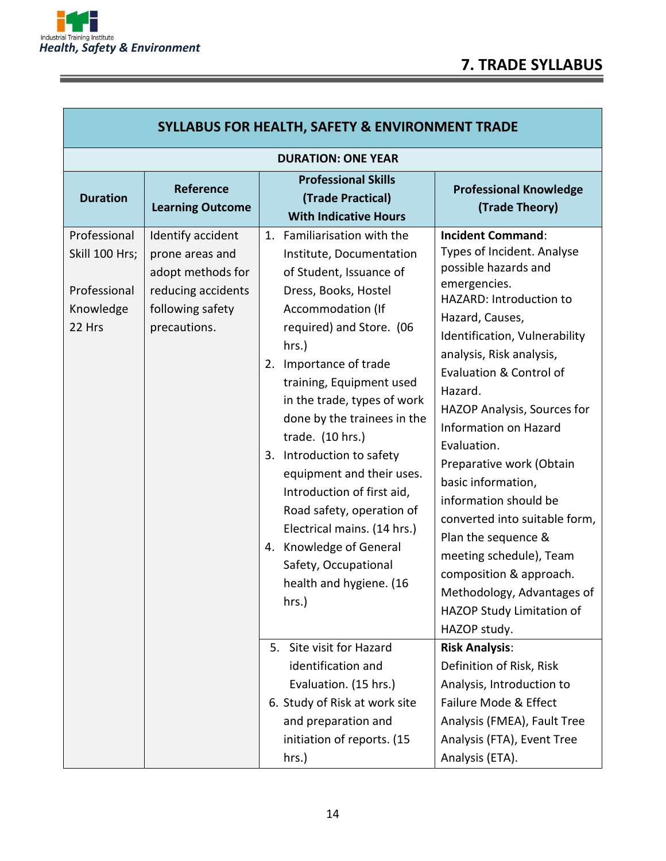Г

<u> Alexandria de la contrada de la contrada de la contrada de la contrada de la contrada de la contrada de la c</u>

| <b>SYLLABUS FOR HEALTH, SAFETY &amp; ENVIRONMENT TRADE</b>            |                                                                                                                     |                                                                                                                                                                                                                                                                                                                                                                                                                                                                                                                                                         |                                                                                                                                                                                                                                                                                                                                                                                                                                                                                                                                                                                            |  |
|-----------------------------------------------------------------------|---------------------------------------------------------------------------------------------------------------------|---------------------------------------------------------------------------------------------------------------------------------------------------------------------------------------------------------------------------------------------------------------------------------------------------------------------------------------------------------------------------------------------------------------------------------------------------------------------------------------------------------------------------------------------------------|--------------------------------------------------------------------------------------------------------------------------------------------------------------------------------------------------------------------------------------------------------------------------------------------------------------------------------------------------------------------------------------------------------------------------------------------------------------------------------------------------------------------------------------------------------------------------------------------|--|
| <b>DURATION: ONE YEAR</b>                                             |                                                                                                                     |                                                                                                                                                                                                                                                                                                                                                                                                                                                                                                                                                         |                                                                                                                                                                                                                                                                                                                                                                                                                                                                                                                                                                                            |  |
| <b>Duration</b>                                                       | <b>Reference</b><br><b>Learning Outcome</b>                                                                         | <b>Professional Skills</b><br>(Trade Practical)<br><b>With Indicative Hours</b>                                                                                                                                                                                                                                                                                                                                                                                                                                                                         | <b>Professional Knowledge</b><br>(Trade Theory)                                                                                                                                                                                                                                                                                                                                                                                                                                                                                                                                            |  |
| Professional<br>Skill 100 Hrs;<br>Professional<br>Knowledge<br>22 Hrs | Identify accident<br>prone areas and<br>adopt methods for<br>reducing accidents<br>following safety<br>precautions. | 1. Familiarisation with the<br>Institute, Documentation<br>of Student, Issuance of<br>Dress, Books, Hostel<br>Accommodation (If<br>required) and Store. (06<br>hrs.)<br>2. Importance of trade<br>training, Equipment used<br>in the trade, types of work<br>done by the trainees in the<br>trade. (10 hrs.)<br>3. Introduction to safety<br>equipment and their uses.<br>Introduction of first aid,<br>Road safety, operation of<br>Electrical mains. (14 hrs.)<br>4. Knowledge of General<br>Safety, Occupational<br>health and hygiene. (16<br>hrs.) | <b>Incident Command:</b><br>Types of Incident. Analyse<br>possible hazards and<br>emergencies.<br>HAZARD: Introduction to<br>Hazard, Causes,<br>Identification, Vulnerability<br>analysis, Risk analysis,<br>Evaluation & Control of<br>Hazard.<br>HAZOP Analysis, Sources for<br>Information on Hazard<br>Evaluation.<br>Preparative work (Obtain<br>basic information,<br>information should be<br>converted into suitable form,<br>Plan the sequence &<br>meeting schedule), Team<br>composition & approach.<br>Methodology, Advantages of<br>HAZOP Study Limitation of<br>HAZOP study. |  |
|                                                                       |                                                                                                                     | Site visit for Hazard<br>5.<br>identification and<br>Evaluation. (15 hrs.)                                                                                                                                                                                                                                                                                                                                                                                                                                                                              | <b>Risk Analysis:</b><br>Definition of Risk, Risk<br>Analysis, Introduction to                                                                                                                                                                                                                                                                                                                                                                                                                                                                                                             |  |
|                                                                       |                                                                                                                     | 6. Study of Risk at work site<br>and preparation and<br>initiation of reports. (15<br>hrs.)                                                                                                                                                                                                                                                                                                                                                                                                                                                             | Failure Mode & Effect<br>Analysis (FMEA), Fault Tree<br>Analysis (FTA), Event Tree<br>Analysis (ETA).                                                                                                                                                                                                                                                                                                                                                                                                                                                                                      |  |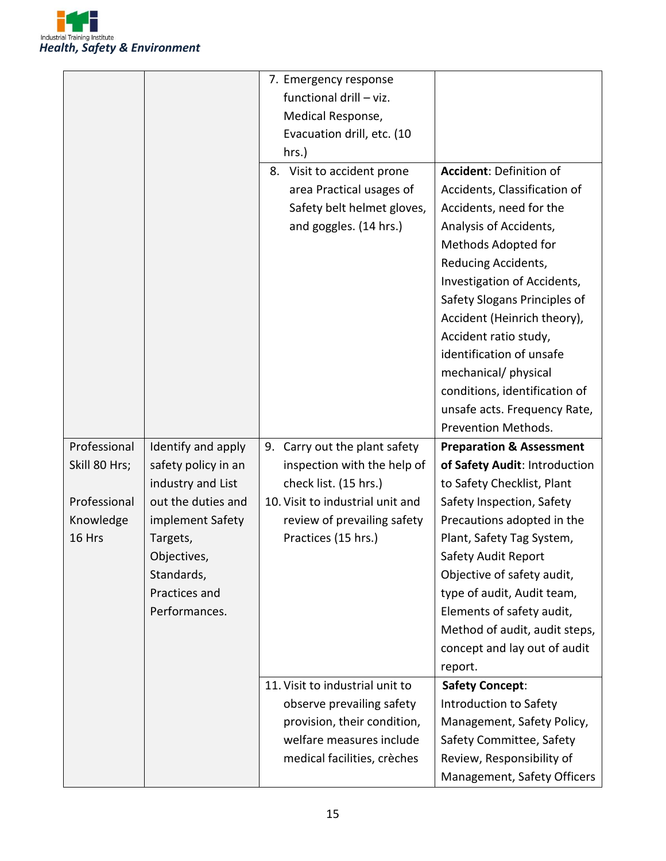

|               |                     | 7. Emergency response            |                                     |
|---------------|---------------------|----------------------------------|-------------------------------------|
|               |                     | functional drill - viz.          |                                     |
|               |                     | Medical Response,                |                                     |
|               |                     | Evacuation drill, etc. (10       |                                     |
|               |                     | hrs.)                            |                                     |
|               |                     | 8. Visit to accident prone       | Accident: Definition of             |
|               |                     | area Practical usages of         | Accidents, Classification of        |
|               |                     | Safety belt helmet gloves,       | Accidents, need for the             |
|               |                     | and goggles. (14 hrs.)           | Analysis of Accidents,              |
|               |                     |                                  | Methods Adopted for                 |
|               |                     |                                  | Reducing Accidents,                 |
|               |                     |                                  | Investigation of Accidents,         |
|               |                     |                                  | Safety Slogans Principles of        |
|               |                     |                                  | Accident (Heinrich theory),         |
|               |                     |                                  | Accident ratio study,               |
|               |                     |                                  | identification of unsafe            |
|               |                     |                                  | mechanical/ physical                |
|               |                     |                                  | conditions, identification of       |
|               |                     |                                  | unsafe acts. Frequency Rate,        |
|               |                     |                                  | Prevention Methods.                 |
| Professional  | Identify and apply  | Carry out the plant safety<br>9. | <b>Preparation &amp; Assessment</b> |
| Skill 80 Hrs; | safety policy in an | inspection with the help of      | of Safety Audit: Introduction       |
|               | industry and List   | check list. (15 hrs.)            | to Safety Checklist, Plant          |
| Professional  | out the duties and  | 10. Visit to industrial unit and | Safety Inspection, Safety           |
| Knowledge     | implement Safety    | review of prevailing safety      | Precautions adopted in the          |
| 16 Hrs        | Targets,            | Practices (15 hrs.)              | Plant, Safety Tag System,           |
|               | Objectives,         |                                  | Safety Audit Report                 |
|               | Standards,          |                                  | Objective of safety audit,          |
|               | Practices and       |                                  | type of audit, Audit team,          |
|               | Performances.       |                                  | Elements of safety audit,           |
|               |                     |                                  | Method of audit, audit steps,       |
|               |                     |                                  | concept and lay out of audit        |
|               |                     |                                  | report.                             |
|               |                     | 11. Visit to industrial unit to  | <b>Safety Concept:</b>              |
|               |                     | observe prevailing safety        | Introduction to Safety              |
|               |                     | provision, their condition,      | Management, Safety Policy,          |
|               |                     | welfare measures include         | Safety Committee, Safety            |
|               |                     | medical facilities, crèches      | Review, Responsibility of           |
|               |                     |                                  | Management, Safety Officers         |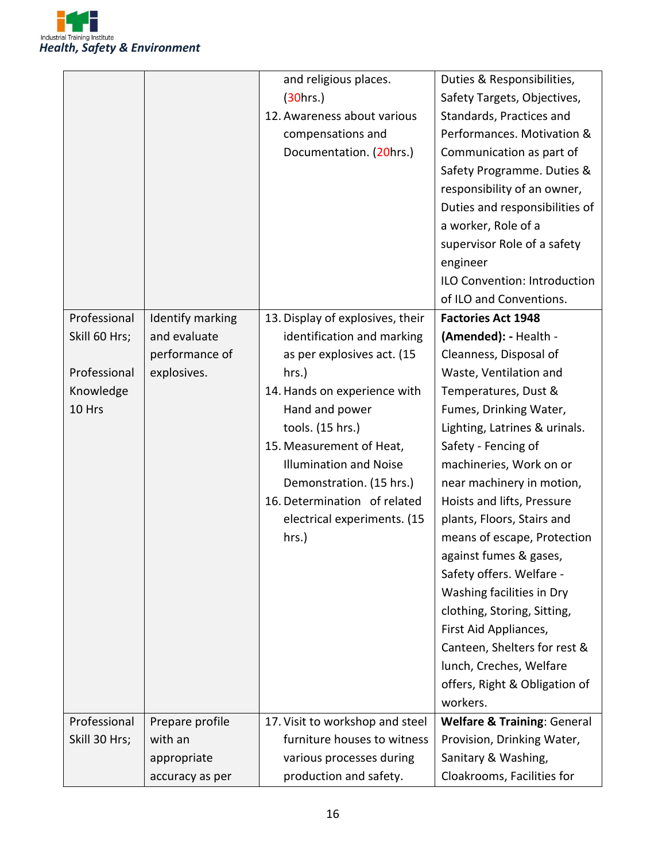

|               |                  | and religious places.            | Duties & Responsibilities,             |
|---------------|------------------|----------------------------------|----------------------------------------|
|               |                  | (30hrs.)                         | Safety Targets, Objectives,            |
|               |                  | 12. Awareness about various      | Standards, Practices and               |
|               |                  | compensations and                | Performances. Motivation &             |
|               |                  | Documentation. (20hrs.)          | Communication as part of               |
|               |                  |                                  | Safety Programme. Duties &             |
|               |                  |                                  | responsibility of an owner,            |
|               |                  |                                  | Duties and responsibilities of         |
|               |                  |                                  | a worker, Role of a                    |
|               |                  |                                  | supervisor Role of a safety            |
|               |                  |                                  | engineer                               |
|               |                  |                                  | ILO Convention: Introduction           |
|               |                  |                                  | of ILO and Conventions.                |
| Professional  | Identify marking | 13. Display of explosives, their | <b>Factories Act 1948</b>              |
| Skill 60 Hrs; | and evaluate     | identification and marking       | (Amended): - Health -                  |
|               | performance of   | as per explosives act. (15       | Cleanness, Disposal of                 |
| Professional  | explosives.      | hrs.)                            | Waste, Ventilation and                 |
| Knowledge     |                  | 14. Hands on experience with     | Temperatures, Dust &                   |
| 10 Hrs        |                  | Hand and power                   | Fumes, Drinking Water,                 |
|               |                  | tools. (15 hrs.)                 | Lighting, Latrines & urinals.          |
|               |                  | 15. Measurement of Heat,         | Safety - Fencing of                    |
|               |                  | <b>Illumination and Noise</b>    | machineries, Work on or                |
|               |                  | Demonstration. (15 hrs.)         | near machinery in motion,              |
|               |                  | 16. Determination of related     | Hoists and lifts, Pressure             |
|               |                  | electrical experiments. (15      | plants, Floors, Stairs and             |
|               |                  | hrs.)                            | means of escape, Protection            |
|               |                  |                                  | against fumes & gases,                 |
|               |                  |                                  | Safety offers. Welfare -               |
|               |                  |                                  | Washing facilities in Dry              |
|               |                  |                                  | clothing, Storing, Sitting,            |
|               |                  |                                  | First Aid Appliances,                  |
|               |                  |                                  | Canteen, Shelters for rest &           |
|               |                  |                                  | lunch, Creches, Welfare                |
|               |                  |                                  | offers, Right & Obligation of          |
|               |                  |                                  | workers.                               |
| Professional  | Prepare profile  | 17. Visit to workshop and steel  | <b>Welfare &amp; Training: General</b> |
| Skill 30 Hrs; | with an          | furniture houses to witness      | Provision, Drinking Water,             |
|               | appropriate      | various processes during         | Sanitary & Washing,                    |
|               | accuracy as per  | production and safety.           | Cloakrooms, Facilities for             |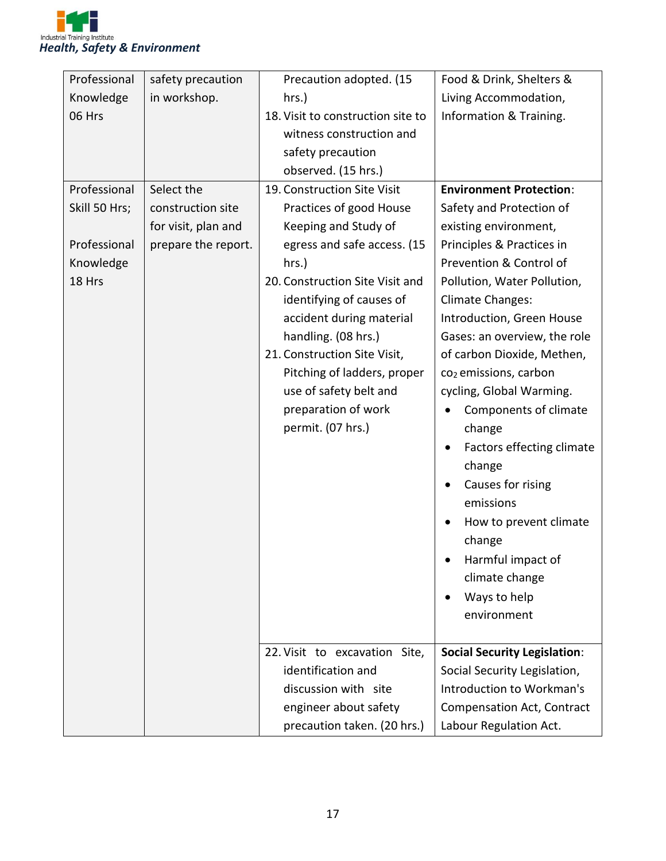

| Professional  | safety precaution   | Precaution adopted. (15           | Food & Drink, Shelters &            |
|---------------|---------------------|-----------------------------------|-------------------------------------|
| Knowledge     | in workshop.        | hrs.)                             | Living Accommodation,               |
| 06 Hrs        |                     | 18. Visit to construction site to | Information & Training.             |
|               |                     | witness construction and          |                                     |
|               |                     | safety precaution                 |                                     |
|               |                     | observed. (15 hrs.)               |                                     |
| Professional  | Select the          | 19. Construction Site Visit       | <b>Environment Protection:</b>      |
| Skill 50 Hrs; | construction site   | Practices of good House           | Safety and Protection of            |
|               | for visit, plan and | Keeping and Study of              | existing environment,               |
| Professional  | prepare the report. | egress and safe access. (15       | Principles & Practices in           |
| Knowledge     |                     | hrs.)                             | Prevention & Control of             |
| 18 Hrs        |                     | 20. Construction Site Visit and   | Pollution, Water Pollution,         |
|               |                     | identifying of causes of          | <b>Climate Changes:</b>             |
|               |                     | accident during material          | Introduction, Green House           |
|               |                     | handling. (08 hrs.)               | Gases: an overview, the role        |
|               |                     | 21. Construction Site Visit,      | of carbon Dioxide, Methen,          |
|               |                     | Pitching of ladders, proper       | co <sub>2</sub> emissions, carbon   |
|               |                     | use of safety belt and            | cycling, Global Warming.            |
|               |                     | preparation of work               | Components of climate<br>$\bullet$  |
|               |                     | permit. (07 hrs.)                 | change                              |
|               |                     |                                   | Factors effecting climate<br>٠      |
|               |                     |                                   | change                              |
|               |                     |                                   | Causes for rising                   |
|               |                     |                                   | emissions                           |
|               |                     |                                   | How to prevent climate              |
|               |                     |                                   | change                              |
|               |                     |                                   | Harmful impact of                   |
|               |                     |                                   | climate change                      |
|               |                     |                                   | Ways to help                        |
|               |                     |                                   | environment                         |
|               |                     |                                   |                                     |
|               |                     | 22. Visit to excavation Site,     | <b>Social Security Legislation:</b> |
|               |                     | identification and                | Social Security Legislation,        |
|               |                     | discussion with site              | Introduction to Workman's           |
|               |                     | engineer about safety             | <b>Compensation Act, Contract</b>   |
|               |                     | precaution taken. (20 hrs.)       | Labour Regulation Act.              |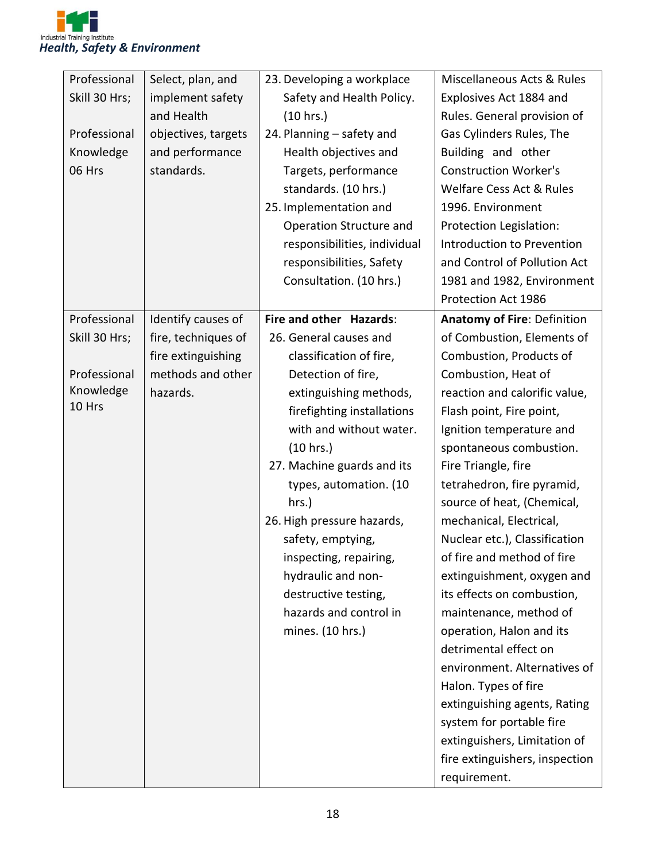

| Professional  | Select, plan, and   | 23. Developing a workplace   | Miscellaneous Acts & Rules     |
|---------------|---------------------|------------------------------|--------------------------------|
| Skill 30 Hrs; | implement safety    | Safety and Health Policy.    | Explosives Act 1884 and        |
|               | and Health          | (10 hrs.)                    | Rules. General provision of    |
| Professional  | objectives, targets | 24. Planning - safety and    | Gas Cylinders Rules, The       |
| Knowledge     | and performance     | Health objectives and        | Building and other             |
| 06 Hrs        | standards.          | Targets, performance         | <b>Construction Worker's</b>   |
|               |                     | standards. (10 hrs.)         | Welfare Cess Act & Rules       |
|               |                     | 25. Implementation and       | 1996. Environment              |
|               |                     | Operation Structure and      | Protection Legislation:        |
|               |                     | responsibilities, individual | Introduction to Prevention     |
|               |                     | responsibilities, Safety     | and Control of Pollution Act   |
|               |                     | Consultation. (10 hrs.)      | 1981 and 1982, Environment     |
|               |                     |                              | Protection Act 1986            |
| Professional  | Identify causes of  | Fire and other Hazards:      | Anatomy of Fire: Definition    |
| Skill 30 Hrs; | fire, techniques of | 26. General causes and       | of Combustion, Elements of     |
|               | fire extinguishing  | classification of fire,      | Combustion, Products of        |
| Professional  | methods and other   | Detection of fire,           | Combustion, Heat of            |
| Knowledge     | hazards.            | extinguishing methods,       | reaction and calorific value,  |
| 10 Hrs        |                     | firefighting installations   | Flash point, Fire point,       |
|               |                     | with and without water.      | Ignition temperature and       |
|               |                     | (10 hrs.)                    | spontaneous combustion.        |
|               |                     | 27. Machine guards and its   | Fire Triangle, fire            |
|               |                     | types, automation. (10       | tetrahedron, fire pyramid,     |
|               |                     | hrs.)                        | source of heat, (Chemical,     |
|               |                     | 26. High pressure hazards,   | mechanical, Electrical,        |
|               |                     | safety, emptying,            | Nuclear etc.), Classification  |
|               |                     | inspecting, repairing,       | of fire and method of fire     |
|               |                     | hydraulic and non-           | extinguishment, oxygen and     |
|               |                     | destructive testing,         | its effects on combustion,     |
|               |                     | hazards and control in       | maintenance, method of         |
|               |                     | mines. (10 hrs.)             | operation, Halon and its       |
|               |                     |                              | detrimental effect on          |
|               |                     |                              | environment. Alternatives of   |
|               |                     |                              | Halon. Types of fire           |
|               |                     |                              | extinguishing agents, Rating   |
|               |                     |                              | system for portable fire       |
|               |                     |                              | extinguishers, Limitation of   |
|               |                     |                              | fire extinguishers, inspection |
|               |                     |                              | requirement.                   |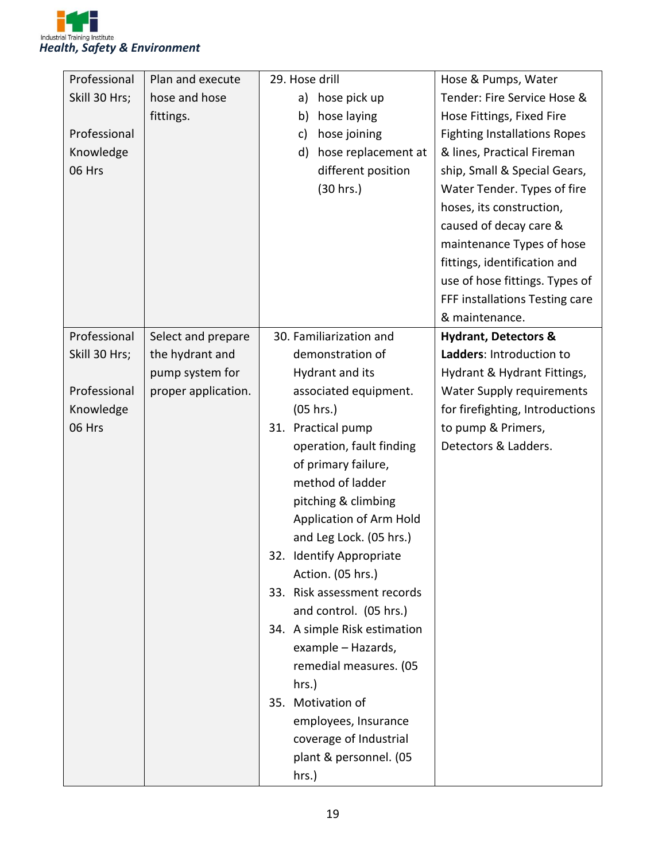

| Professional  | Plan and execute    | 29. Hose drill               | Hose & Pumps, Water                 |
|---------------|---------------------|------------------------------|-------------------------------------|
| Skill 30 Hrs; | hose and hose       | hose pick up<br>a)           | Tender: Fire Service Hose &         |
|               | fittings.           | hose laying<br>b)            | Hose Fittings, Fixed Fire           |
| Professional  |                     | hose joining<br>c)           | <b>Fighting Installations Ropes</b> |
| Knowledge     |                     | hose replacement at<br>d)    | & lines, Practical Fireman          |
| 06 Hrs        |                     | different position           | ship, Small & Special Gears,        |
|               |                     | (30 hrs.)                    | Water Tender. Types of fire         |
|               |                     |                              | hoses, its construction,            |
|               |                     |                              | caused of decay care &              |
|               |                     |                              | maintenance Types of hose           |
|               |                     |                              | fittings, identification and        |
|               |                     |                              | use of hose fittings. Types of      |
|               |                     |                              | FFF installations Testing care      |
|               |                     |                              | & maintenance.                      |
| Professional  | Select and prepare  | 30. Familiarization and      | <b>Hydrant, Detectors &amp;</b>     |
| Skill 30 Hrs; | the hydrant and     | demonstration of             | Ladders: Introduction to            |
|               | pump system for     | Hydrant and its              | Hydrant & Hydrant Fittings,         |
| Professional  | proper application. | associated equipment.        | Water Supply requirements           |
| Knowledge     |                     | (05 hrs.)                    | for firefighting, Introductions     |
| 06 Hrs        |                     | 31. Practical pump           | to pump & Primers,                  |
|               |                     | operation, fault finding     | Detectors & Ladders.                |
|               |                     | of primary failure,          |                                     |
|               |                     | method of ladder             |                                     |
|               |                     | pitching & climbing          |                                     |
|               |                     | Application of Arm Hold      |                                     |
|               |                     | and Leg Lock. (05 hrs.)      |                                     |
|               |                     | 32. Identify Appropriate     |                                     |
|               |                     | Action. (05 hrs.)            |                                     |
|               |                     | 33. Risk assessment records  |                                     |
|               |                     | and control. (05 hrs.)       |                                     |
|               |                     | 34. A simple Risk estimation |                                     |
|               |                     | example - Hazards,           |                                     |
|               |                     | remedial measures. (05       |                                     |
|               |                     | hrs.)                        |                                     |
|               |                     | 35. Motivation of            |                                     |
|               |                     | employees, Insurance         |                                     |
|               |                     | coverage of Industrial       |                                     |
|               |                     | plant & personnel. (05       |                                     |
|               |                     | hrs.)                        |                                     |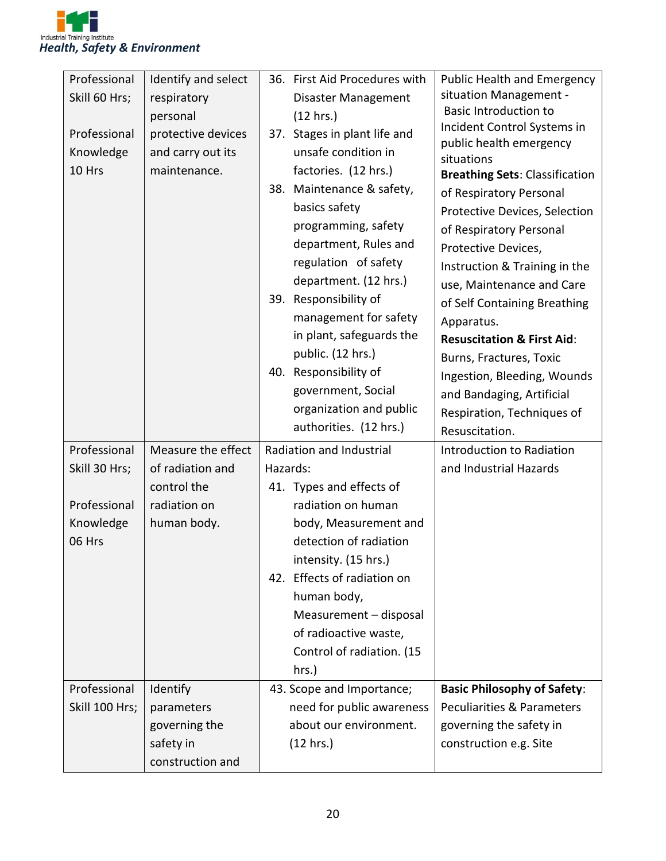

| situation Management -<br>Skill 60 Hrs;<br>respiratory<br>Disaster Management<br><b>Basic Introduction to</b><br>(12 hrs.)<br>personal<br>Incident Control Systems in<br>Professional<br>protective devices<br>37. Stages in plant life and<br>public health emergency<br>and carry out its<br>unsafe condition in<br>Knowledge<br>situations<br>10 Hrs<br>factories. (12 hrs.)<br>maintenance.<br><b>Breathing Sets: Classification</b><br>Maintenance & safety,<br>38.<br>of Respiratory Personal<br>basics safety<br>Protective Devices, Selection<br>programming, safety<br>of Respiratory Personal<br>department, Rules and<br>Protective Devices,<br>regulation of safety<br>Instruction & Training in the<br>department. (12 hrs.)<br>use, Maintenance and Care<br>39. Responsibility of<br>of Self Containing Breathing<br>management for safety<br>Apparatus.<br>in plant, safeguards the<br><b>Resuscitation &amp; First Aid:</b><br>public. (12 hrs.)<br>Burns, Fractures, Toxic<br>40. Responsibility of<br>Ingestion, Bleeding, Wounds<br>government, Social<br>and Bandaging, Artificial<br>organization and public<br>Respiration, Techniques of<br>authorities. (12 hrs.)<br>Resuscitation.<br>Professional<br>Measure the effect<br>Radiation and Industrial<br>Introduction to Radiation<br>Skill 30 Hrs;<br>of radiation and<br>Hazards:<br>and Industrial Hazards<br>control the<br>41. Types and effects of<br>Professional<br>radiation on<br>radiation on human<br>Knowledge<br>human body.<br>body, Measurement and<br>detection of radiation<br>06 Hrs |
|---------------------------------------------------------------------------------------------------------------------------------------------------------------------------------------------------------------------------------------------------------------------------------------------------------------------------------------------------------------------------------------------------------------------------------------------------------------------------------------------------------------------------------------------------------------------------------------------------------------------------------------------------------------------------------------------------------------------------------------------------------------------------------------------------------------------------------------------------------------------------------------------------------------------------------------------------------------------------------------------------------------------------------------------------------------------------------------------------------------------------------------------------------------------------------------------------------------------------------------------------------------------------------------------------------------------------------------------------------------------------------------------------------------------------------------------------------------------------------------------------------------------------------------------------------------------------------|
|                                                                                                                                                                                                                                                                                                                                                                                                                                                                                                                                                                                                                                                                                                                                                                                                                                                                                                                                                                                                                                                                                                                                                                                                                                                                                                                                                                                                                                                                                                                                                                                 |
|                                                                                                                                                                                                                                                                                                                                                                                                                                                                                                                                                                                                                                                                                                                                                                                                                                                                                                                                                                                                                                                                                                                                                                                                                                                                                                                                                                                                                                                                                                                                                                                 |
|                                                                                                                                                                                                                                                                                                                                                                                                                                                                                                                                                                                                                                                                                                                                                                                                                                                                                                                                                                                                                                                                                                                                                                                                                                                                                                                                                                                                                                                                                                                                                                                 |
|                                                                                                                                                                                                                                                                                                                                                                                                                                                                                                                                                                                                                                                                                                                                                                                                                                                                                                                                                                                                                                                                                                                                                                                                                                                                                                                                                                                                                                                                                                                                                                                 |
|                                                                                                                                                                                                                                                                                                                                                                                                                                                                                                                                                                                                                                                                                                                                                                                                                                                                                                                                                                                                                                                                                                                                                                                                                                                                                                                                                                                                                                                                                                                                                                                 |
|                                                                                                                                                                                                                                                                                                                                                                                                                                                                                                                                                                                                                                                                                                                                                                                                                                                                                                                                                                                                                                                                                                                                                                                                                                                                                                                                                                                                                                                                                                                                                                                 |
|                                                                                                                                                                                                                                                                                                                                                                                                                                                                                                                                                                                                                                                                                                                                                                                                                                                                                                                                                                                                                                                                                                                                                                                                                                                                                                                                                                                                                                                                                                                                                                                 |
|                                                                                                                                                                                                                                                                                                                                                                                                                                                                                                                                                                                                                                                                                                                                                                                                                                                                                                                                                                                                                                                                                                                                                                                                                                                                                                                                                                                                                                                                                                                                                                                 |
|                                                                                                                                                                                                                                                                                                                                                                                                                                                                                                                                                                                                                                                                                                                                                                                                                                                                                                                                                                                                                                                                                                                                                                                                                                                                                                                                                                                                                                                                                                                                                                                 |
|                                                                                                                                                                                                                                                                                                                                                                                                                                                                                                                                                                                                                                                                                                                                                                                                                                                                                                                                                                                                                                                                                                                                                                                                                                                                                                                                                                                                                                                                                                                                                                                 |
|                                                                                                                                                                                                                                                                                                                                                                                                                                                                                                                                                                                                                                                                                                                                                                                                                                                                                                                                                                                                                                                                                                                                                                                                                                                                                                                                                                                                                                                                                                                                                                                 |
|                                                                                                                                                                                                                                                                                                                                                                                                                                                                                                                                                                                                                                                                                                                                                                                                                                                                                                                                                                                                                                                                                                                                                                                                                                                                                                                                                                                                                                                                                                                                                                                 |
|                                                                                                                                                                                                                                                                                                                                                                                                                                                                                                                                                                                                                                                                                                                                                                                                                                                                                                                                                                                                                                                                                                                                                                                                                                                                                                                                                                                                                                                                                                                                                                                 |
|                                                                                                                                                                                                                                                                                                                                                                                                                                                                                                                                                                                                                                                                                                                                                                                                                                                                                                                                                                                                                                                                                                                                                                                                                                                                                                                                                                                                                                                                                                                                                                                 |
|                                                                                                                                                                                                                                                                                                                                                                                                                                                                                                                                                                                                                                                                                                                                                                                                                                                                                                                                                                                                                                                                                                                                                                                                                                                                                                                                                                                                                                                                                                                                                                                 |
|                                                                                                                                                                                                                                                                                                                                                                                                                                                                                                                                                                                                                                                                                                                                                                                                                                                                                                                                                                                                                                                                                                                                                                                                                                                                                                                                                                                                                                                                                                                                                                                 |
|                                                                                                                                                                                                                                                                                                                                                                                                                                                                                                                                                                                                                                                                                                                                                                                                                                                                                                                                                                                                                                                                                                                                                                                                                                                                                                                                                                                                                                                                                                                                                                                 |
|                                                                                                                                                                                                                                                                                                                                                                                                                                                                                                                                                                                                                                                                                                                                                                                                                                                                                                                                                                                                                                                                                                                                                                                                                                                                                                                                                                                                                                                                                                                                                                                 |
|                                                                                                                                                                                                                                                                                                                                                                                                                                                                                                                                                                                                                                                                                                                                                                                                                                                                                                                                                                                                                                                                                                                                                                                                                                                                                                                                                                                                                                                                                                                                                                                 |
|                                                                                                                                                                                                                                                                                                                                                                                                                                                                                                                                                                                                                                                                                                                                                                                                                                                                                                                                                                                                                                                                                                                                                                                                                                                                                                                                                                                                                                                                                                                                                                                 |
|                                                                                                                                                                                                                                                                                                                                                                                                                                                                                                                                                                                                                                                                                                                                                                                                                                                                                                                                                                                                                                                                                                                                                                                                                                                                                                                                                                                                                                                                                                                                                                                 |
|                                                                                                                                                                                                                                                                                                                                                                                                                                                                                                                                                                                                                                                                                                                                                                                                                                                                                                                                                                                                                                                                                                                                                                                                                                                                                                                                                                                                                                                                                                                                                                                 |
|                                                                                                                                                                                                                                                                                                                                                                                                                                                                                                                                                                                                                                                                                                                                                                                                                                                                                                                                                                                                                                                                                                                                                                                                                                                                                                                                                                                                                                                                                                                                                                                 |
|                                                                                                                                                                                                                                                                                                                                                                                                                                                                                                                                                                                                                                                                                                                                                                                                                                                                                                                                                                                                                                                                                                                                                                                                                                                                                                                                                                                                                                                                                                                                                                                 |
|                                                                                                                                                                                                                                                                                                                                                                                                                                                                                                                                                                                                                                                                                                                                                                                                                                                                                                                                                                                                                                                                                                                                                                                                                                                                                                                                                                                                                                                                                                                                                                                 |
| intensity. (15 hrs.)                                                                                                                                                                                                                                                                                                                                                                                                                                                                                                                                                                                                                                                                                                                                                                                                                                                                                                                                                                                                                                                                                                                                                                                                                                                                                                                                                                                                                                                                                                                                                            |
| 42. Effects of radiation on                                                                                                                                                                                                                                                                                                                                                                                                                                                                                                                                                                                                                                                                                                                                                                                                                                                                                                                                                                                                                                                                                                                                                                                                                                                                                                                                                                                                                                                                                                                                                     |
| human body,                                                                                                                                                                                                                                                                                                                                                                                                                                                                                                                                                                                                                                                                                                                                                                                                                                                                                                                                                                                                                                                                                                                                                                                                                                                                                                                                                                                                                                                                                                                                                                     |
| Measurement - disposal                                                                                                                                                                                                                                                                                                                                                                                                                                                                                                                                                                                                                                                                                                                                                                                                                                                                                                                                                                                                                                                                                                                                                                                                                                                                                                                                                                                                                                                                                                                                                          |
| of radioactive waste,                                                                                                                                                                                                                                                                                                                                                                                                                                                                                                                                                                                                                                                                                                                                                                                                                                                                                                                                                                                                                                                                                                                                                                                                                                                                                                                                                                                                                                                                                                                                                           |
| Control of radiation. (15                                                                                                                                                                                                                                                                                                                                                                                                                                                                                                                                                                                                                                                                                                                                                                                                                                                                                                                                                                                                                                                                                                                                                                                                                                                                                                                                                                                                                                                                                                                                                       |
| hrs.)<br>Professional<br><b>Basic Philosophy of Safety:</b>                                                                                                                                                                                                                                                                                                                                                                                                                                                                                                                                                                                                                                                                                                                                                                                                                                                                                                                                                                                                                                                                                                                                                                                                                                                                                                                                                                                                                                                                                                                     |
| Identify<br>43. Scope and Importance;<br><b>Peculiarities &amp; Parameters</b><br>need for public awareness<br>Skill 100 Hrs;<br>parameters                                                                                                                                                                                                                                                                                                                                                                                                                                                                                                                                                                                                                                                                                                                                                                                                                                                                                                                                                                                                                                                                                                                                                                                                                                                                                                                                                                                                                                     |
| about our environment.<br>governing the<br>governing the safety in                                                                                                                                                                                                                                                                                                                                                                                                                                                                                                                                                                                                                                                                                                                                                                                                                                                                                                                                                                                                                                                                                                                                                                                                                                                                                                                                                                                                                                                                                                              |
| construction e.g. Site<br>safety in<br>(12 hrs.)                                                                                                                                                                                                                                                                                                                                                                                                                                                                                                                                                                                                                                                                                                                                                                                                                                                                                                                                                                                                                                                                                                                                                                                                                                                                                                                                                                                                                                                                                                                                |
|                                                                                                                                                                                                                                                                                                                                                                                                                                                                                                                                                                                                                                                                                                                                                                                                                                                                                                                                                                                                                                                                                                                                                                                                                                                                                                                                                                                                                                                                                                                                                                                 |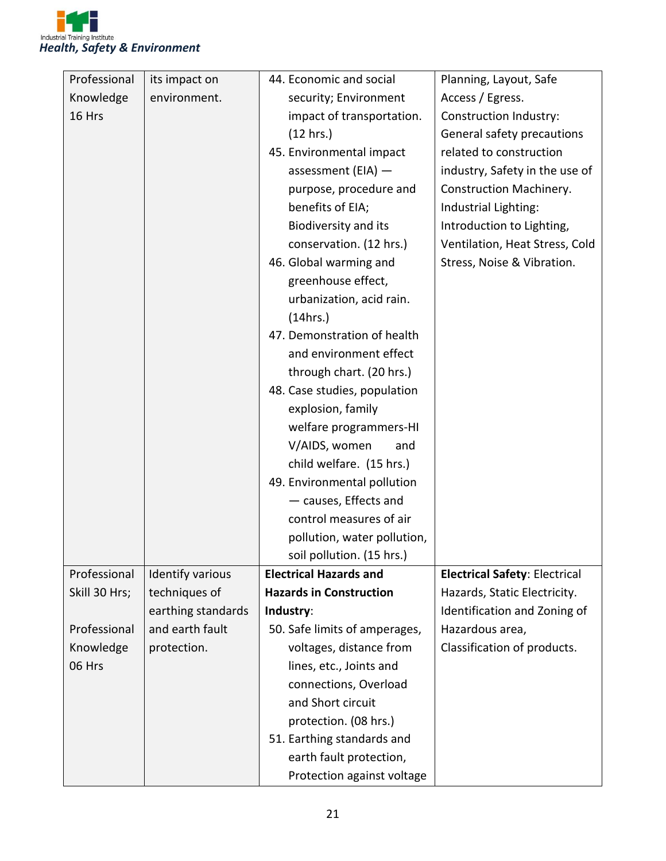

| its impact on      | 44. Economic and social        | Planning, Layout, Safe                                                                                                                                                                                                                                                                                                                                                                                                                                                      |
|--------------------|--------------------------------|-----------------------------------------------------------------------------------------------------------------------------------------------------------------------------------------------------------------------------------------------------------------------------------------------------------------------------------------------------------------------------------------------------------------------------------------------------------------------------|
| environment.       | security; Environment          | Access / Egress.                                                                                                                                                                                                                                                                                                                                                                                                                                                            |
|                    | impact of transportation.      | Construction Industry:                                                                                                                                                                                                                                                                                                                                                                                                                                                      |
|                    | (12 hrs.)                      | General safety precautions                                                                                                                                                                                                                                                                                                                                                                                                                                                  |
|                    | 45. Environmental impact       | related to construction                                                                                                                                                                                                                                                                                                                                                                                                                                                     |
|                    | assessment (EIA) $-$           | industry, Safety in the use of                                                                                                                                                                                                                                                                                                                                                                                                                                              |
|                    | purpose, procedure and         | Construction Machinery.                                                                                                                                                                                                                                                                                                                                                                                                                                                     |
|                    |                                | Industrial Lighting:                                                                                                                                                                                                                                                                                                                                                                                                                                                        |
|                    | <b>Biodiversity and its</b>    | Introduction to Lighting,                                                                                                                                                                                                                                                                                                                                                                                                                                                   |
|                    |                                | Ventilation, Heat Stress, Cold                                                                                                                                                                                                                                                                                                                                                                                                                                              |
|                    |                                | Stress, Noise & Vibration.                                                                                                                                                                                                                                                                                                                                                                                                                                                  |
|                    |                                |                                                                                                                                                                                                                                                                                                                                                                                                                                                                             |
|                    |                                |                                                                                                                                                                                                                                                                                                                                                                                                                                                                             |
|                    |                                |                                                                                                                                                                                                                                                                                                                                                                                                                                                                             |
|                    | 47. Demonstration of health    |                                                                                                                                                                                                                                                                                                                                                                                                                                                                             |
|                    |                                |                                                                                                                                                                                                                                                                                                                                                                                                                                                                             |
|                    |                                |                                                                                                                                                                                                                                                                                                                                                                                                                                                                             |
|                    |                                |                                                                                                                                                                                                                                                                                                                                                                                                                                                                             |
|                    |                                |                                                                                                                                                                                                                                                                                                                                                                                                                                                                             |
|                    |                                |                                                                                                                                                                                                                                                                                                                                                                                                                                                                             |
|                    |                                |                                                                                                                                                                                                                                                                                                                                                                                                                                                                             |
|                    |                                |                                                                                                                                                                                                                                                                                                                                                                                                                                                                             |
|                    |                                |                                                                                                                                                                                                                                                                                                                                                                                                                                                                             |
|                    |                                |                                                                                                                                                                                                                                                                                                                                                                                                                                                                             |
|                    |                                |                                                                                                                                                                                                                                                                                                                                                                                                                                                                             |
|                    |                                |                                                                                                                                                                                                                                                                                                                                                                                                                                                                             |
|                    |                                |                                                                                                                                                                                                                                                                                                                                                                                                                                                                             |
| Identify various   | <b>Electrical Hazards and</b>  | <b>Electrical Safety: Electrical</b>                                                                                                                                                                                                                                                                                                                                                                                                                                        |
| techniques of      | <b>Hazards in Construction</b> | Hazards, Static Electricity.                                                                                                                                                                                                                                                                                                                                                                                                                                                |
| earthing standards | Industry:                      | Identification and Zoning of                                                                                                                                                                                                                                                                                                                                                                                                                                                |
| and earth fault    | 50. Safe limits of amperages,  | Hazardous area,                                                                                                                                                                                                                                                                                                                                                                                                                                                             |
| protection.        | voltages, distance from        | Classification of products.                                                                                                                                                                                                                                                                                                                                                                                                                                                 |
|                    | lines, etc., Joints and        |                                                                                                                                                                                                                                                                                                                                                                                                                                                                             |
|                    | connections, Overload          |                                                                                                                                                                                                                                                                                                                                                                                                                                                                             |
|                    | and Short circuit              |                                                                                                                                                                                                                                                                                                                                                                                                                                                                             |
|                    | protection. (08 hrs.)          |                                                                                                                                                                                                                                                                                                                                                                                                                                                                             |
|                    | 51. Earthing standards and     |                                                                                                                                                                                                                                                                                                                                                                                                                                                                             |
|                    | earth fault protection,        |                                                                                                                                                                                                                                                                                                                                                                                                                                                                             |
|                    | Protection against voltage     |                                                                                                                                                                                                                                                                                                                                                                                                                                                                             |
|                    |                                | benefits of EIA;<br>conservation. (12 hrs.)<br>46. Global warming and<br>greenhouse effect,<br>urbanization, acid rain.<br>(14hrs.)<br>and environment effect<br>through chart. (20 hrs.)<br>48. Case studies, population<br>explosion, family<br>welfare programmers-HI<br>V/AIDS, women<br>and<br>child welfare. (15 hrs.)<br>49. Environmental pollution<br>- causes, Effects and<br>control measures of air<br>pollution, water pollution,<br>soil pollution. (15 hrs.) |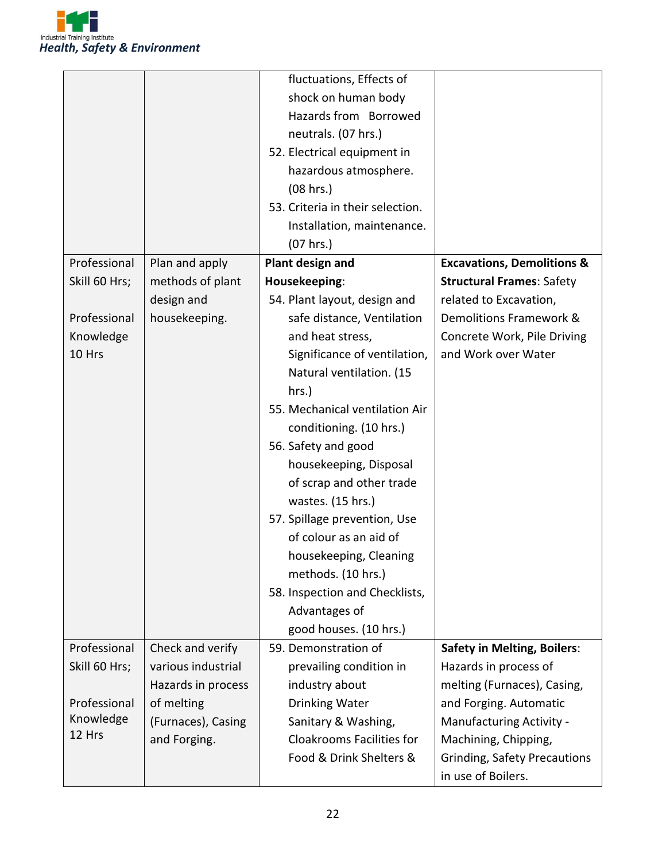

|               |                    | fluctuations, Effects of         |                                       |
|---------------|--------------------|----------------------------------|---------------------------------------|
|               |                    | shock on human body              |                                       |
|               |                    | Hazards from Borrowed            |                                       |
|               |                    | neutrals. (07 hrs.)              |                                       |
|               |                    | 52. Electrical equipment in      |                                       |
|               |                    | hazardous atmosphere.            |                                       |
|               |                    | (08 hrs.)                        |                                       |
|               |                    | 53. Criteria in their selection. |                                       |
|               |                    | Installation, maintenance.       |                                       |
|               |                    | (07 hrs.)                        |                                       |
| Professional  | Plan and apply     | Plant design and                 | <b>Excavations, Demolitions &amp;</b> |
| Skill 60 Hrs; | methods of plant   | Housekeeping:                    | <b>Structural Frames: Safety</b>      |
|               | design and         | 54. Plant layout, design and     | related to Excavation,                |
| Professional  | housekeeping.      | safe distance, Ventilation       | Demolitions Framework &               |
| Knowledge     |                    | and heat stress,                 | Concrete Work, Pile Driving           |
| 10 Hrs        |                    | Significance of ventilation,     | and Work over Water                   |
|               |                    |                                  |                                       |
|               |                    | Natural ventilation. (15         |                                       |
|               |                    | hrs.)                            |                                       |
|               |                    | 55. Mechanical ventilation Air   |                                       |
|               |                    | conditioning. (10 hrs.)          |                                       |
|               |                    | 56. Safety and good              |                                       |
|               |                    | housekeeping, Disposal           |                                       |
|               |                    | of scrap and other trade         |                                       |
|               |                    | wastes. (15 hrs.)                |                                       |
|               |                    | 57. Spillage prevention, Use     |                                       |
|               |                    | of colour as an aid of           |                                       |
|               |                    | housekeeping, Cleaning           |                                       |
|               |                    | methods. (10 hrs.)               |                                       |
|               |                    | 58. Inspection and Checklists,   |                                       |
|               |                    | Advantages of                    |                                       |
|               |                    | good houses. (10 hrs.)           |                                       |
| Professional  | Check and verify   | 59. Demonstration of             | <b>Safety in Melting, Boilers:</b>    |
| Skill 60 Hrs; | various industrial | prevailing condition in          | Hazards in process of                 |
|               | Hazards in process | industry about                   | melting (Furnaces), Casing,           |
| Professional  | of melting         | Drinking Water                   | and Forging. Automatic                |
| Knowledge     | (Furnaces), Casing | Sanitary & Washing,              | Manufacturing Activity -              |
| 12 Hrs        | and Forging.       | <b>Cloakrooms Facilities for</b> | Machining, Chipping,                  |
|               |                    | Food & Drink Shelters &          | <b>Grinding, Safety Precautions</b>   |
|               |                    |                                  | in use of Boilers.                    |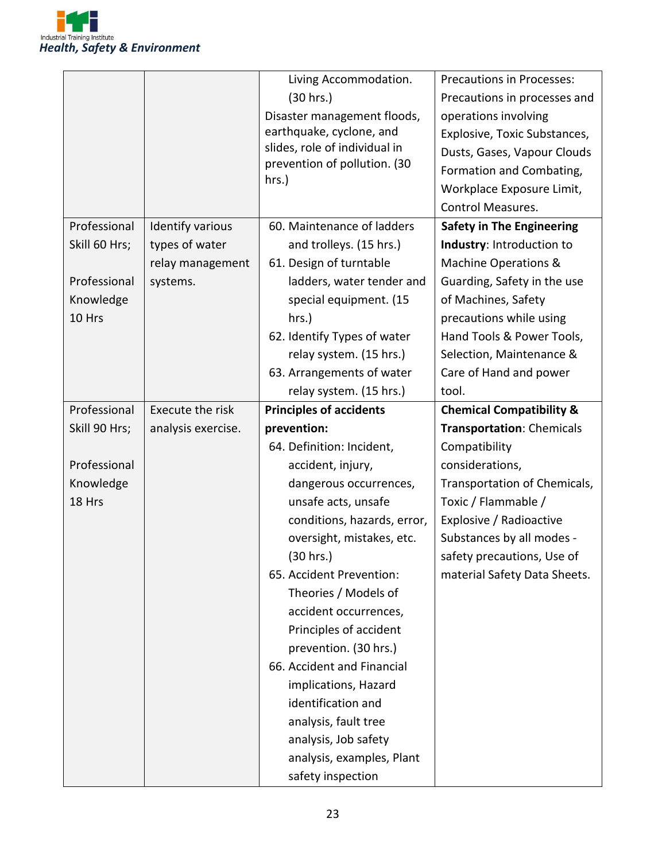

|               |                    | Living Accommodation.          | Precautions in Processes:           |
|---------------|--------------------|--------------------------------|-------------------------------------|
|               |                    | (30 hrs.)                      | Precautions in processes and        |
|               |                    | Disaster management floods,    | operations involving                |
|               |                    | earthquake, cyclone, and       | Explosive, Toxic Substances,        |
|               |                    | slides, role of individual in  | Dusts, Gases, Vapour Clouds         |
|               |                    | prevention of pollution. (30   | Formation and Combating,            |
|               |                    | hrs.)                          | Workplace Exposure Limit,           |
|               |                    |                                | <b>Control Measures.</b>            |
| Professional  | Identify various   | 60. Maintenance of ladders     | <b>Safety in The Engineering</b>    |
| Skill 60 Hrs; | types of water     | and trolleys. (15 hrs.)        | Industry: Introduction to           |
|               | relay management   | 61. Design of turntable        | Machine Operations &                |
| Professional  | systems.           | ladders, water tender and      | Guarding, Safety in the use         |
| Knowledge     |                    | special equipment. (15         | of Machines, Safety                 |
| 10 Hrs        |                    | hrs.)                          | precautions while using             |
|               |                    | 62. Identify Types of water    | Hand Tools & Power Tools,           |
|               |                    | relay system. (15 hrs.)        | Selection, Maintenance &            |
|               |                    | 63. Arrangements of water      | Care of Hand and power              |
|               |                    | relay system. (15 hrs.)        | tool.                               |
| Professional  | Execute the risk   | <b>Principles of accidents</b> | <b>Chemical Compatibility &amp;</b> |
|               |                    |                                |                                     |
| Skill 90 Hrs; | analysis exercise. | prevention:                    | Transportation: Chemicals           |
|               |                    | 64. Definition: Incident,      | Compatibility                       |
| Professional  |                    | accident, injury,              | considerations,                     |
| Knowledge     |                    | dangerous occurrences,         | Transportation of Chemicals,        |
| 18 Hrs        |                    | unsafe acts, unsafe            | Toxic / Flammable /                 |
|               |                    | conditions, hazards, error,    | Explosive / Radioactive             |
|               |                    | oversight, mistakes, etc.      | Substances by all modes -           |
|               |                    | (30 hrs.)                      | safety precautions, Use of          |
|               |                    | 65. Accident Prevention:       | material Safety Data Sheets.        |
|               |                    | Theories / Models of           |                                     |
|               |                    | accident occurrences,          |                                     |
|               |                    | Principles of accident         |                                     |
|               |                    | prevention. (30 hrs.)          |                                     |
|               |                    | 66. Accident and Financial     |                                     |
|               |                    | implications, Hazard           |                                     |
|               |                    | identification and             |                                     |
|               |                    | analysis, fault tree           |                                     |
|               |                    | analysis, Job safety           |                                     |
|               |                    | analysis, examples, Plant      |                                     |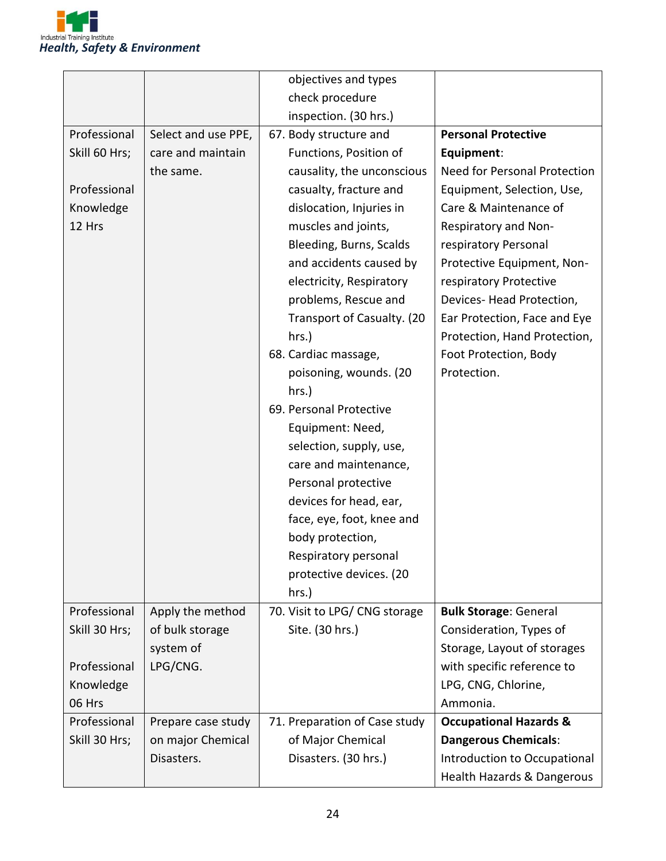

|               |                     | objectives and types          |                                   |
|---------------|---------------------|-------------------------------|-----------------------------------|
|               |                     | check procedure               |                                   |
|               |                     | inspection. (30 hrs.)         |                                   |
| Professional  | Select and use PPE, | 67. Body structure and        | <b>Personal Protective</b>        |
| Skill 60 Hrs; | care and maintain   | Functions, Position of        | Equipment:                        |
|               | the same.           | causality, the unconscious    | Need for Personal Protection      |
| Professional  |                     | casualty, fracture and        | Equipment, Selection, Use,        |
| Knowledge     |                     | dislocation, Injuries in      | Care & Maintenance of             |
| 12 Hrs        |                     | muscles and joints,           | Respiratory and Non-              |
|               |                     | Bleeding, Burns, Scalds       | respiratory Personal              |
|               |                     | and accidents caused by       | Protective Equipment, Non-        |
|               |                     | electricity, Respiratory      | respiratory Protective            |
|               |                     | problems, Rescue and          | Devices-Head Protection,          |
|               |                     | Transport of Casualty. (20    | Ear Protection, Face and Eye      |
|               |                     | hrs.)                         | Protection, Hand Protection,      |
|               |                     | 68. Cardiac massage,          | Foot Protection, Body             |
|               |                     | poisoning, wounds. (20        | Protection.                       |
|               |                     | hrs.)                         |                                   |
|               |                     | 69. Personal Protective       |                                   |
|               |                     | Equipment: Need,              |                                   |
|               |                     | selection, supply, use,       |                                   |
|               |                     | care and maintenance,         |                                   |
|               |                     | Personal protective           |                                   |
|               |                     | devices for head, ear,        |                                   |
|               |                     | face, eye, foot, knee and     |                                   |
|               |                     | body protection,              |                                   |
|               |                     | Respiratory personal          |                                   |
|               |                     | protective devices. (20       |                                   |
|               |                     | hrs.)                         |                                   |
| Professional  | Apply the method    | 70. Visit to LPG/ CNG storage | <b>Bulk Storage: General</b>      |
| Skill 30 Hrs; | of bulk storage     | Site. (30 hrs.)               | Consideration, Types of           |
|               | system of           |                               | Storage, Layout of storages       |
| Professional  | LPG/CNG.            |                               | with specific reference to        |
| Knowledge     |                     |                               | LPG, CNG, Chlorine,               |
| 06 Hrs        |                     |                               | Ammonia.                          |
| Professional  | Prepare case study  | 71. Preparation of Case study | <b>Occupational Hazards &amp;</b> |
| Skill 30 Hrs; | on major Chemical   | of Major Chemical             | <b>Dangerous Chemicals:</b>       |
|               | Disasters.          | Disasters. (30 hrs.)          | Introduction to Occupational      |
|               |                     |                               | Health Hazards & Dangerous        |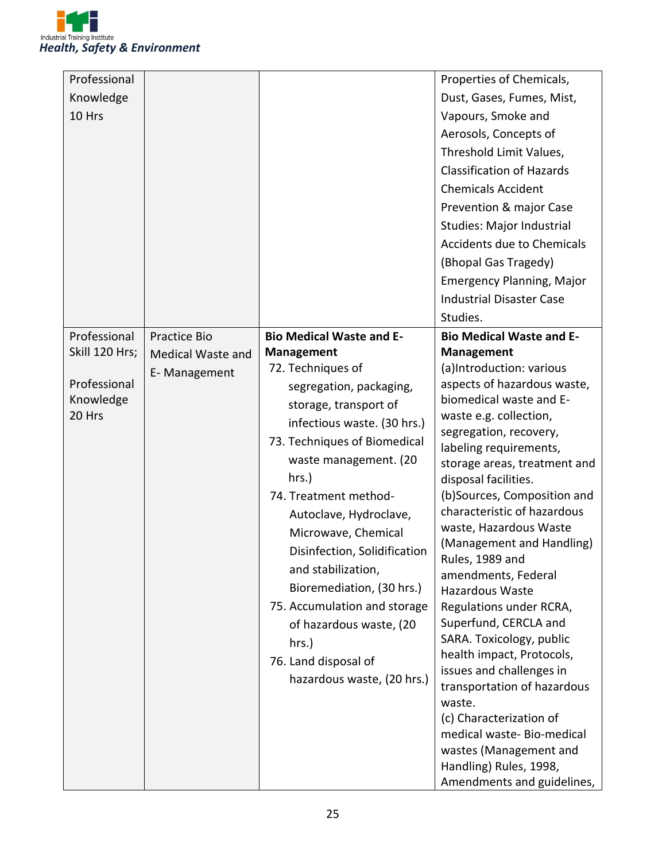

| Professional   |                   |                                 | Properties of Chemicals,                         |
|----------------|-------------------|---------------------------------|--------------------------------------------------|
| Knowledge      |                   |                                 | Dust, Gases, Fumes, Mist,                        |
| 10 Hrs         |                   |                                 | Vapours, Smoke and                               |
|                |                   |                                 | Aerosols, Concepts of                            |
|                |                   |                                 | Threshold Limit Values,                          |
|                |                   |                                 | <b>Classification of Hazards</b>                 |
|                |                   |                                 | <b>Chemicals Accident</b>                        |
|                |                   |                                 | Prevention & major Case                          |
|                |                   |                                 | <b>Studies: Major Industrial</b>                 |
|                |                   |                                 | <b>Accidents due to Chemicals</b>                |
|                |                   |                                 | (Bhopal Gas Tragedy)                             |
|                |                   |                                 | <b>Emergency Planning, Major</b>                 |
|                |                   |                                 | <b>Industrial Disaster Case</b>                  |
|                |                   |                                 | Studies.                                         |
| Professional   | Practice Bio      | <b>Bio Medical Waste and E-</b> | <b>Bio Medical Waste and E-</b>                  |
| Skill 120 Hrs; | Medical Waste and | <b>Management</b>               | <b>Management</b>                                |
|                | E-Management      | 72. Techniques of               | (a)Introduction: various                         |
| Professional   |                   | segregation, packaging,         | aspects of hazardous waste,                      |
| Knowledge      |                   | storage, transport of           | biomedical waste and E-                          |
| 20 Hrs         |                   | infectious waste. (30 hrs.)     | waste e.g. collection,                           |
|                |                   | 73. Techniques of Biomedical    | segregation, recovery,<br>labeling requirements, |
|                |                   | waste management. (20           | storage areas, treatment and                     |
|                |                   | hrs.)                           | disposal facilities.                             |
|                |                   | 74. Treatment method-           | (b)Sources, Composition and                      |
|                |                   | Autoclave, Hydroclave,          | characteristic of hazardous                      |
|                |                   | Microwave, Chemical             | waste, Hazardous Waste                           |
|                |                   | Disinfection, Solidification    | (Management and Handling)                        |
|                |                   | and stabilization,              | Rules, 1989 and                                  |
|                |                   | Bioremediation, (30 hrs.)       | amendments, Federal<br>Hazardous Waste           |
|                |                   | 75. Accumulation and storage    | Regulations under RCRA,                          |
|                |                   | of hazardous waste, (20         | Superfund, CERCLA and                            |
|                |                   | hrs.)                           | SARA. Toxicology, public                         |
|                |                   |                                 | health impact, Protocols,                        |
|                |                   | 76. Land disposal of            | issues and challenges in                         |
|                |                   | hazardous waste, (20 hrs.)      | transportation of hazardous                      |
|                |                   |                                 | waste.                                           |
|                |                   |                                 | (c) Characterization of                          |
|                |                   |                                 | medical waste-Bio-medical                        |
|                |                   |                                 | wastes (Management and                           |
|                |                   |                                 | Handling) Rules, 1998,                           |
|                |                   |                                 | Amendments and guidelines,                       |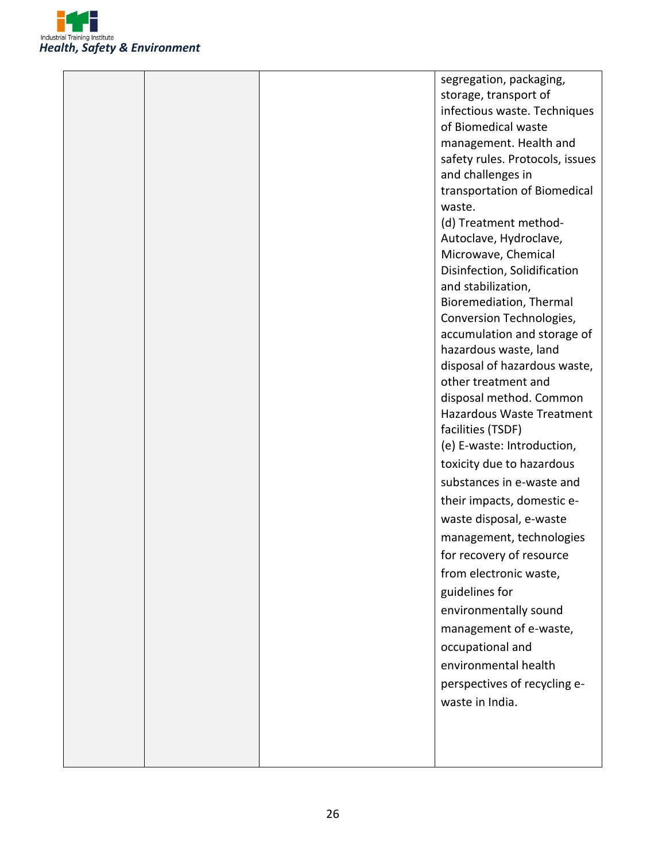

| storage, transport of           |  |
|---------------------------------|--|
| infectious waste. Techniques    |  |
| of Biomedical waste             |  |
| management. Health and          |  |
| safety rules. Protocols, issues |  |
| and challenges in               |  |
| transportation of Biomedical    |  |
| waste.                          |  |
| (d) Treatment method-           |  |
| Autoclave, Hydroclave,          |  |
| Microwave, Chemical             |  |
| Disinfection, Solidification    |  |
| and stabilization,              |  |
| Bioremediation, Thermal         |  |
| Conversion Technologies,        |  |
| accumulation and storage of     |  |
| hazardous waste, land           |  |
| disposal of hazardous waste,    |  |
| other treatment and             |  |
| disposal method. Common         |  |
| Hazardous Waste Treatment       |  |
| facilities (TSDF)               |  |
| (e) E-waste: Introduction,      |  |
| toxicity due to hazardous       |  |
| substances in e-waste and       |  |
| their impacts, domestic e-      |  |
| waste disposal, e-waste         |  |
| management, technologies        |  |
| for recovery of resource        |  |
| from electronic waste,          |  |
| guidelines for                  |  |
| environmentally sound           |  |
| management of e-waste,          |  |
| occupational and                |  |
|                                 |  |
| environmental health            |  |
| perspectives of recycling e-    |  |
| waste in India.                 |  |
|                                 |  |
|                                 |  |
|                                 |  |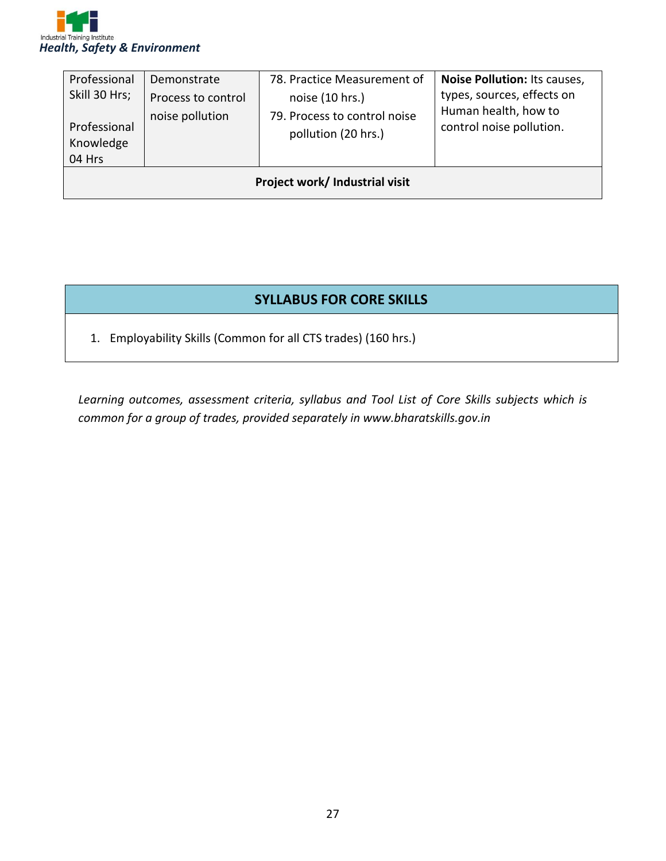

| Professional<br>Skill 30 Hrs;<br>Professional<br>Knowledge<br>04 Hrs | Demonstrate<br>Process to control<br>noise pollution | 78. Practice Measurement of<br>noise (10 hrs.)<br>79. Process to control noise<br>pollution (20 hrs.) | Noise Pollution: Its causes,<br>types, sources, effects on<br>Human health, how to<br>control noise pollution. |
|----------------------------------------------------------------------|------------------------------------------------------|-------------------------------------------------------------------------------------------------------|----------------------------------------------------------------------------------------------------------------|
| Project work/ Industrial visit                                       |                                                      |                                                                                                       |                                                                                                                |

#### **SYLLABUS FOR CORE SKILLS**

1. Employability Skills (Common for all CTS trades) (160 hrs.)

*Learning outcomes, assessment criteria, syllabus and Tool List of Core Skills subjects which is common for a group of trades, provided separately in www.bharatskills.gov.in*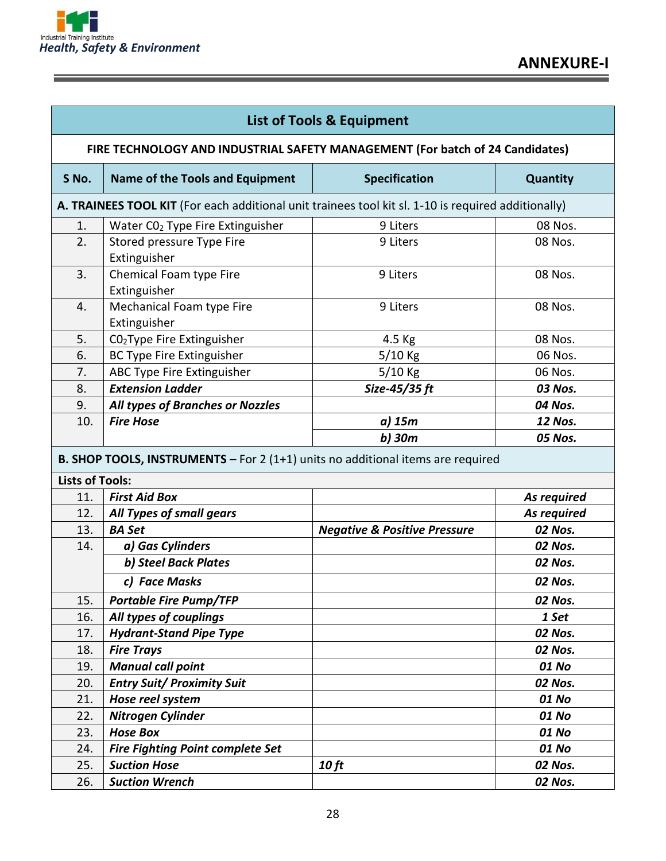

Ε

| <b>List of Tools &amp; Equipment</b>                                          |                                                                                                     |                                         |                 |
|-------------------------------------------------------------------------------|-----------------------------------------------------------------------------------------------------|-----------------------------------------|-----------------|
| FIRE TECHNOLOGY AND INDUSTRIAL SAFETY MANAGEMENT (For batch of 24 Candidates) |                                                                                                     |                                         |                 |
| S No.                                                                         | <b>Name of the Tools and Equipment</b>                                                              | <b>Specification</b>                    | <b>Quantity</b> |
|                                                                               | A. TRAINEES TOOL KIT (For each additional unit trainees tool kit sl. 1-10 is required additionally) |                                         |                 |
| 1.                                                                            | Water CO <sub>2</sub> Type Fire Extinguisher                                                        | 9 Liters                                | 08 Nos.         |
| 2.                                                                            | Stored pressure Type Fire<br>Extinguisher                                                           | 9 Liters                                | 08 Nos.         |
| 3.                                                                            | Chemical Foam type Fire<br>Extinguisher                                                             | 9 Liters                                | 08 Nos.         |
| 4.                                                                            | Mechanical Foam type Fire<br>Extinguisher                                                           | 9 Liters                                | 08 Nos.         |
| 5.                                                                            | CO <sub>2</sub> Type Fire Extinguisher                                                              | 4.5 Kg                                  | 08 Nos.         |
| 6.                                                                            | <b>BC Type Fire Extinguisher</b>                                                                    | 5/10 Kg                                 | 06 Nos.         |
| 7.                                                                            | ABC Type Fire Extinguisher                                                                          | 5/10 Kg                                 | 06 Nos.         |
| 8.                                                                            | <b>Extension Ladder</b>                                                                             | Size-45/35 ft                           | 03 Nos.         |
| 9.                                                                            | All types of Branches or Nozzles                                                                    |                                         | 04 Nos.         |
| 10.                                                                           | <b>Fire Hose</b>                                                                                    | a) 15m                                  | <b>12 Nos.</b>  |
| <b>Lists of Tools:</b>                                                        | <b>B. SHOP TOOLS, INSTRUMENTS</b> $-$ For 2 (1+1) units no additional items are required            |                                         |                 |
| 11.                                                                           | <b>First Aid Box</b>                                                                                |                                         | As required     |
| 12.                                                                           | All Types of small gears                                                                            |                                         | As required     |
| 13.                                                                           | <b>BA Set</b>                                                                                       | <b>Negative &amp; Positive Pressure</b> | 02 Nos.         |
| 14.                                                                           | a) Gas Cylinders                                                                                    |                                         | 02 Nos.         |
|                                                                               | b) Steel Back Plates                                                                                |                                         | 02 Nos.         |
|                                                                               | c) Face Masks                                                                                       |                                         | 02 Nos.         |
| 15.                                                                           | <b>Portable Fire Pump/TFP</b>                                                                       |                                         | 02 Nos.         |
| 16.                                                                           | All types of couplings                                                                              |                                         | 1 Set           |
| 17.                                                                           | <b>Hydrant-Stand Pipe Type</b>                                                                      |                                         | 02 Nos.         |
| 18.                                                                           | <b>Fire Trays</b>                                                                                   |                                         | 02 Nos.         |
| 19.                                                                           | <b>Manual call point</b>                                                                            |                                         | 01 No           |
| 20.                                                                           | <b>Entry Suit/ Proximity Suit</b>                                                                   |                                         | 02 Nos.         |
| 21.                                                                           | Hose reel system                                                                                    |                                         | 01 No           |
| 22.                                                                           | Nitrogen Cylinder                                                                                   |                                         | 01 No           |
| 23.                                                                           | <b>Hose Box</b>                                                                                     |                                         | 01 No           |
| 24.                                                                           | <b>Fire Fighting Point complete Set</b>                                                             |                                         | 01 No           |
| 25.                                                                           | <b>Suction Hose</b>                                                                                 | <b>10 ft</b>                            | 02 Nos.         |
| 26.                                                                           | <b>Suction Wrench</b>                                                                               |                                         | 02 Nos.         |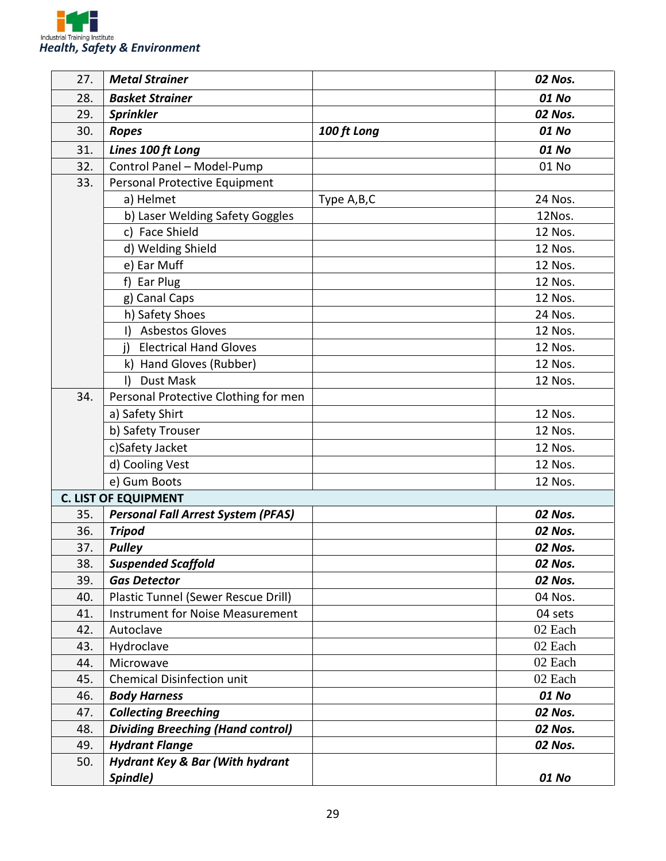

| 27. | <b>Metal Strainer</b>                      |             | 02 Nos. |
|-----|--------------------------------------------|-------------|---------|
| 28. | <b>Basket Strainer</b>                     |             | 01 No   |
| 29. | <b>Sprinkler</b>                           |             | 02 Nos. |
| 30. | <b>Ropes</b>                               | 100 ft Long | 01 No   |
| 31. | Lines 100 ft Long                          |             | 01 No   |
| 32. | Control Panel - Model-Pump                 |             | 01 No   |
| 33. | Personal Protective Equipment              |             |         |
|     | a) Helmet                                  | Type A,B,C  | 24 Nos. |
|     | b) Laser Welding Safety Goggles            |             | 12Nos.  |
|     | c) Face Shield                             |             | 12 Nos. |
|     | d) Welding Shield                          |             | 12 Nos. |
|     | e) Ear Muff                                |             | 12 Nos. |
|     | f) Ear Plug                                |             | 12 Nos. |
|     | g) Canal Caps                              |             | 12 Nos. |
|     | h) Safety Shoes                            |             | 24 Nos. |
|     | <b>Asbestos Gloves</b><br>I)               |             | 12 Nos. |
|     | <b>Electrical Hand Gloves</b><br>i)        |             | 12 Nos. |
|     | k) Hand Gloves (Rubber)                    |             | 12 Nos. |
|     | $\vert$<br>Dust Mask                       |             | 12 Nos. |
| 34. | Personal Protective Clothing for men       |             |         |
|     | a) Safety Shirt                            |             | 12 Nos. |
|     | b) Safety Trouser                          |             | 12 Nos. |
|     | c)Safety Jacket                            |             | 12 Nos. |
|     | d) Cooling Vest                            |             | 12 Nos. |
|     | e) Gum Boots                               |             | 12 Nos. |
|     | <b>C. LIST OF EQUIPMENT</b>                |             |         |
| 35. | <b>Personal Fall Arrest System (PFAS)</b>  |             | 02 Nos. |
| 36. | <b>Tripod</b>                              |             | 02 Nos. |
| 37. | <b>Pulley</b>                              |             | 02 Nos. |
| 38. | <b>Suspended Scaffold</b>                  |             | 02 Nos. |
| 39. | <b>Gas Detector</b>                        |             | 02 Nos. |
| 40. | Plastic Tunnel (Sewer Rescue Drill)        |             | 04 Nos. |
| 41. | <b>Instrument for Noise Measurement</b>    |             | 04 sets |
| 42. | Autoclave                                  |             | 02 Each |
| 43. | Hydroclave                                 |             | 02 Each |
| 44. | Microwave                                  |             | 02 Each |
| 45. | <b>Chemical Disinfection unit</b>          |             | 02 Each |
| 46. | <b>Body Harness</b>                        |             | 01 No   |
| 47. | <b>Collecting Breeching</b>                |             | 02 Nos. |
| 48. | <b>Dividing Breeching (Hand control)</b>   |             | 02 Nos. |
| 49. | <b>Hydrant Flange</b>                      |             | 02 Nos. |
| 50. | <b>Hydrant Key &amp; Bar (With hydrant</b> |             |         |
|     | Spindle)                                   |             | 01 No   |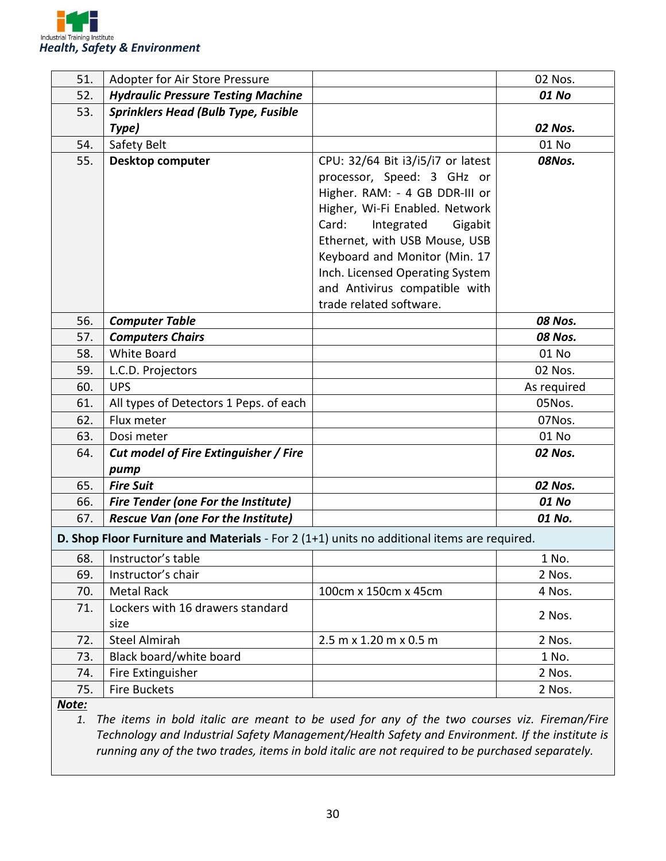

| 51.   | Adopter for Air Store Pressure                                                              |                                   | 02 Nos.     |
|-------|---------------------------------------------------------------------------------------------|-----------------------------------|-------------|
| 52.   | <b>Hydraulic Pressure Testing Machine</b>                                                   |                                   | 01 No       |
| 53.   | <b>Sprinklers Head (Bulb Type, Fusible</b>                                                  |                                   |             |
|       | Type)                                                                                       |                                   | 02 Nos.     |
| 54.   | Safety Belt                                                                                 |                                   | 01 No       |
| 55.   | <b>Desktop computer</b>                                                                     | CPU: 32/64 Bit i3/i5/i7 or latest | 08Nos.      |
|       |                                                                                             | processor, Speed: 3 GHz or        |             |
|       |                                                                                             | Higher. RAM: - 4 GB DDR-III or    |             |
|       |                                                                                             | Higher, Wi-Fi Enabled. Network    |             |
|       |                                                                                             | Card:<br>Integrated<br>Gigabit    |             |
|       |                                                                                             | Ethernet, with USB Mouse, USB     |             |
|       |                                                                                             | Keyboard and Monitor (Min. 17     |             |
|       |                                                                                             | Inch. Licensed Operating System   |             |
|       |                                                                                             | and Antivirus compatible with     |             |
|       |                                                                                             | trade related software.           |             |
| 56.   | <b>Computer Table</b>                                                                       |                                   | 08 Nos.     |
| 57.   | <b>Computers Chairs</b>                                                                     |                                   | 08 Nos.     |
| 58.   | <b>White Board</b>                                                                          |                                   | 01 No       |
| 59.   | L.C.D. Projectors                                                                           |                                   | 02 Nos.     |
| 60.   | <b>UPS</b>                                                                                  |                                   | As required |
| 61.   | All types of Detectors 1 Peps. of each                                                      |                                   | 05Nos.      |
| 62.   | Flux meter                                                                                  |                                   | 07Nos.      |
| 63.   | Dosi meter                                                                                  |                                   | 01 No       |
| 64.   | Cut model of Fire Extinguisher / Fire                                                       |                                   | 02 Nos.     |
|       | pump                                                                                        |                                   |             |
| 65.   | <b>Fire Suit</b>                                                                            |                                   | 02 Nos.     |
| 66.   | <b>Fire Tender (one For the Institute)</b>                                                  |                                   | 01 No       |
| 67.   | <b>Rescue Van (one For the Institute)</b>                                                   |                                   | 01 No.      |
|       | D. Shop Floor Furniture and Materials - For 2 (1+1) units no additional items are required. |                                   |             |
| 68.   | Instructor's table                                                                          |                                   | 1 No.       |
| 69.   | Instructor's chair                                                                          |                                   | 2 Nos.      |
| 70.   | <b>Metal Rack</b>                                                                           | 100cm x 150cm x 45cm              | 4 Nos.      |
| 71.   | Lockers with 16 drawers standard                                                            |                                   | 2 Nos.      |
|       | size                                                                                        |                                   |             |
| 72.   | <b>Steel Almirah</b>                                                                        | 2.5 m x 1.20 m x 0.5 m            | 2 Nos.      |
| 73.   | Black board/white board                                                                     |                                   | 1 No.       |
| 74.   | Fire Extinguisher                                                                           |                                   | 2 Nos.      |
| 75.   | Fire Buckets                                                                                |                                   | 2 Nos.      |
| Note: |                                                                                             |                                   |             |

*1. The items in bold italic are meant to be used for any of the two courses viz. Fireman/Fire Technology and Industrial Safety Management/Health Safety and Environment. If the institute is running any of the two trades, items in bold italic are not required to be purchased separately.*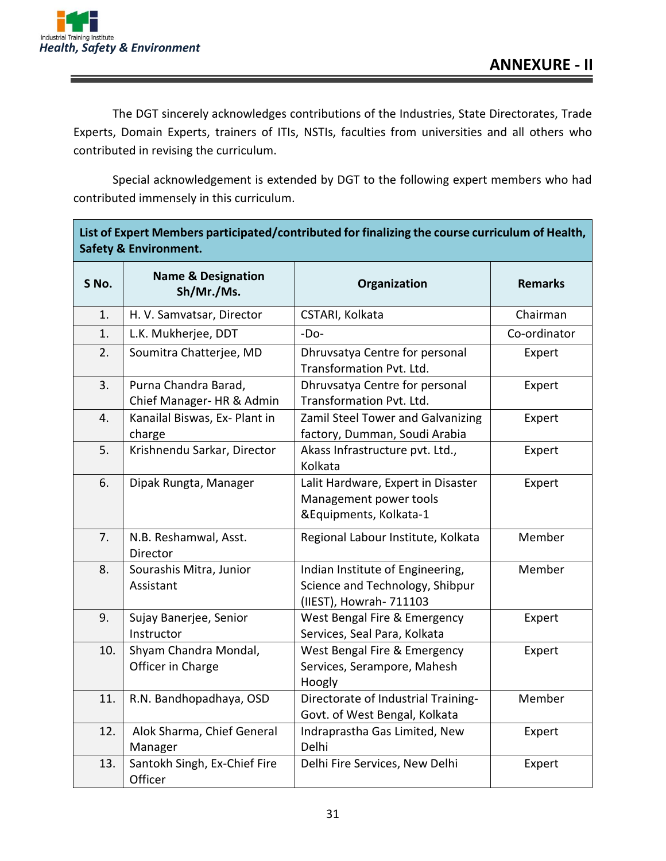

ſ

The DGT sincerely acknowledges contributions of the Industries, State Directorates, Trade Experts, Domain Experts, trainers of ITIs, NSTIs, faculties from universities and all others who contributed in revising the curriculum.

Special acknowledgement is extended by DGT to the following expert members who had contributed immensely in this curriculum.

| List of Expert Members participated/contributed for finalizing the course curriculum of Health,<br><b>Safety &amp; Environment.</b> |                                                   |                                                                                                |                |
|-------------------------------------------------------------------------------------------------------------------------------------|---------------------------------------------------|------------------------------------------------------------------------------------------------|----------------|
| S No.                                                                                                                               | <b>Name &amp; Designation</b><br>Sh/Mr./Ms.       | Organization                                                                                   | <b>Remarks</b> |
| 1.                                                                                                                                  | H. V. Samvatsar, Director                         | CSTARI, Kolkata                                                                                | Chairman       |
| 1.                                                                                                                                  | L.K. Mukherjee, DDT                               | $-Do-$                                                                                         | Co-ordinator   |
| 2.                                                                                                                                  | Soumitra Chatterjee, MD                           | Dhruvsatya Centre for personal<br>Transformation Pvt. Ltd.                                     | Expert         |
| 3.                                                                                                                                  | Purna Chandra Barad,<br>Chief Manager- HR & Admin | Dhruvsatya Centre for personal<br>Transformation Pvt. Ltd.                                     | Expert         |
| 4.                                                                                                                                  | Kanailal Biswas, Ex- Plant in<br>charge           | Zamil Steel Tower and Galvanizing<br>factory, Dumman, Soudi Arabia                             | Expert         |
| 5.                                                                                                                                  | Krishnendu Sarkar, Director                       | Akass Infrastructure pvt. Ltd.,<br>Kolkata                                                     | Expert         |
| 6.                                                                                                                                  | Dipak Rungta, Manager                             | Lalit Hardware, Expert in Disaster<br>Management power tools<br>&Equipments, Kolkata-1         | Expert         |
| 7.                                                                                                                                  | N.B. Reshamwal, Asst.<br>Director                 | Regional Labour Institute, Kolkata                                                             | Member         |
| 8.                                                                                                                                  | Sourashis Mitra, Junior<br>Assistant              | Indian Institute of Engineering,<br>Science and Technology, Shibpur<br>(IIEST), Howrah- 711103 | Member         |
| 9.                                                                                                                                  | Sujay Banerjee, Senior<br>Instructor              | West Bengal Fire & Emergency<br>Services, Seal Para, Kolkata                                   | Expert         |
| 10.                                                                                                                                 | Shyam Chandra Mondal,<br>Officer in Charge        | West Bengal Fire & Emergency<br>Services, Serampore, Mahesh<br>Hoogly                          | Expert         |
| 11.                                                                                                                                 | R.N. Bandhopadhaya, OSD                           | Directorate of Industrial Training-<br>Govt. of West Bengal, Kolkata                           | Member         |
| 12.                                                                                                                                 | Alok Sharma, Chief General<br>Manager             | Indraprastha Gas Limited, New<br>Delhi                                                         | Expert         |
| 13.                                                                                                                                 | Santokh Singh, Ex-Chief Fire<br>Officer           | Delhi Fire Services, New Delhi                                                                 | Expert         |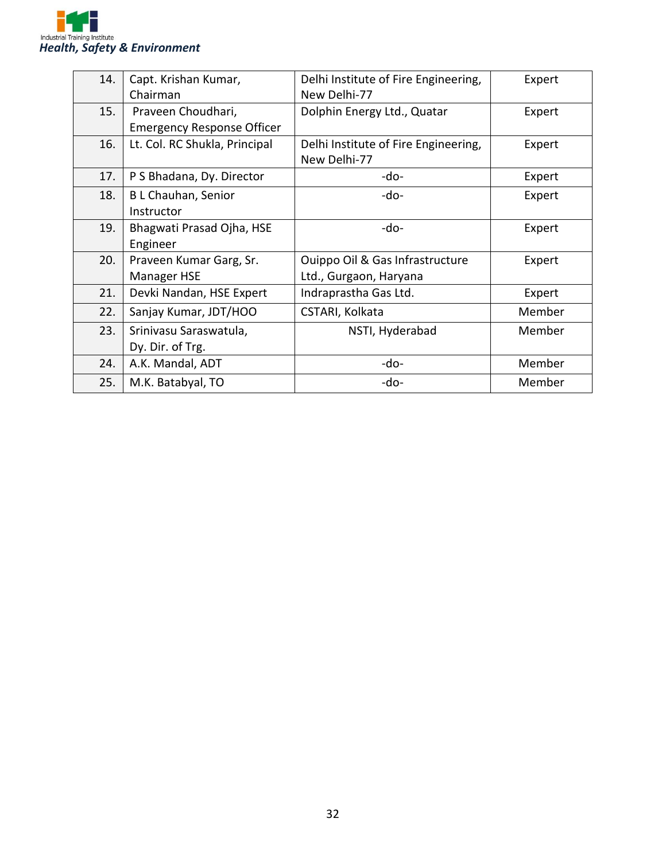

| 14. | Capt. Krishan Kumar,              | Delhi Institute of Fire Engineering, | Expert |
|-----|-----------------------------------|--------------------------------------|--------|
|     | Chairman                          | New Delhi-77                         |        |
| 15. | Praveen Choudhari,                | Dolphin Energy Ltd., Quatar          | Expert |
|     | <b>Emergency Response Officer</b> |                                      |        |
| 16. | Lt. Col. RC Shukla, Principal     | Delhi Institute of Fire Engineering, | Expert |
|     |                                   | New Delhi-77                         |        |
| 17. | P S Bhadana, Dy. Director         | -do-                                 | Expert |
| 18. | B L Chauhan, Senior               | -do-                                 | Expert |
|     | Instructor                        |                                      |        |
| 19. | Bhagwati Prasad Ojha, HSE         | -do-                                 | Expert |
|     | Engineer                          |                                      |        |
| 20. | Praveen Kumar Garg, Sr.           | Ouippo Oil & Gas Infrastructure      | Expert |
|     | <b>Manager HSE</b>                | Ltd., Gurgaon, Haryana               |        |
| 21. | Devki Nandan, HSE Expert          | Indraprastha Gas Ltd.                | Expert |
| 22. | Sanjay Kumar, JDT/HOO             | CSTARI, Kolkata                      | Member |
| 23. | Srinivasu Saraswatula,            | NSTI, Hyderabad                      | Member |
|     | Dy. Dir. of Trg.                  |                                      |        |
| 24. | A.K. Mandal, ADT                  | -do-                                 | Member |
| 25. | M.K. Batabyal, TO                 | -do-                                 | Member |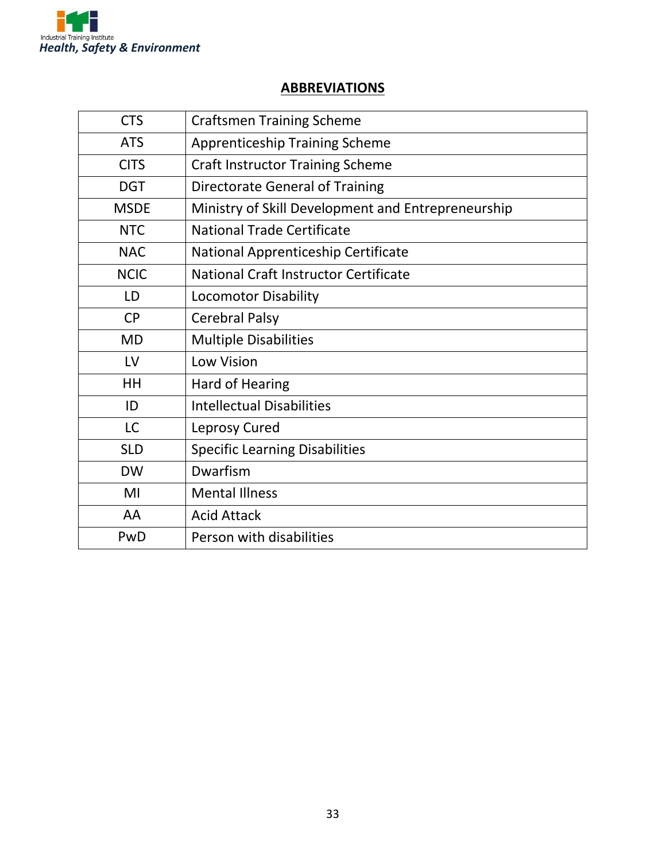

#### **ABBREVIATIONS**

| <b>CTS</b>  | <b>Craftsmen Training Scheme</b>                   |
|-------------|----------------------------------------------------|
| <b>ATS</b>  | <b>Apprenticeship Training Scheme</b>              |
| <b>CITS</b> | <b>Craft Instructor Training Scheme</b>            |
| <b>DGT</b>  | <b>Directorate General of Training</b>             |
| <b>MSDE</b> | Ministry of Skill Development and Entrepreneurship |
| <b>NTC</b>  | <b>National Trade Certificate</b>                  |
| <b>NAC</b>  | National Apprenticeship Certificate                |
| <b>NCIC</b> | National Craft Instructor Certificate              |
| LD          | <b>Locomotor Disability</b>                        |
| <b>CP</b>   | <b>Cerebral Palsy</b>                              |
| <b>MD</b>   | <b>Multiple Disabilities</b>                       |
| LV          | Low Vision                                         |
| HH          | Hard of Hearing                                    |
| ID          | <b>Intellectual Disabilities</b>                   |
| <b>LC</b>   | Leprosy Cured                                      |
| <b>SLD</b>  | <b>Specific Learning Disabilities</b>              |
| <b>DW</b>   | Dwarfism                                           |
| MI          | <b>Mental Illness</b>                              |
| AA          | <b>Acid Attack</b>                                 |
| PwD         | Person with disabilities                           |